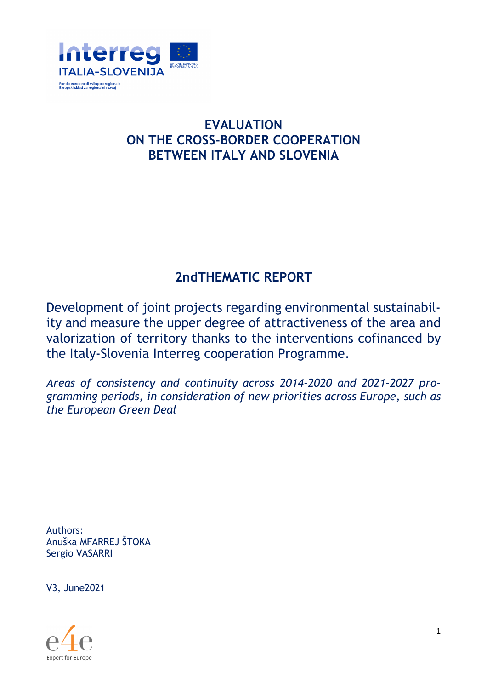

# **EVALUATION ON THE CROSS-BORDER COOPERATION BETWEEN ITALY AND SLOVENIA**

# **2ndTHEMATIC REPORT**

Development of joint projects regarding environmental sustainability and measure the upper degree of attractiveness of the area and valorization of territory thanks to the interventions cofinanced by the Italy-Slovenia Interreg cooperation Programme.

*Areas of consistency and continuity across 2014-2020 and 2021-2027 programming periods, in consideration of new priorities across Europe, such as the European Green Deal* 

Authors: Anuška MFARREJ ŠTOKA Sergio VASARRI

V3, June2021

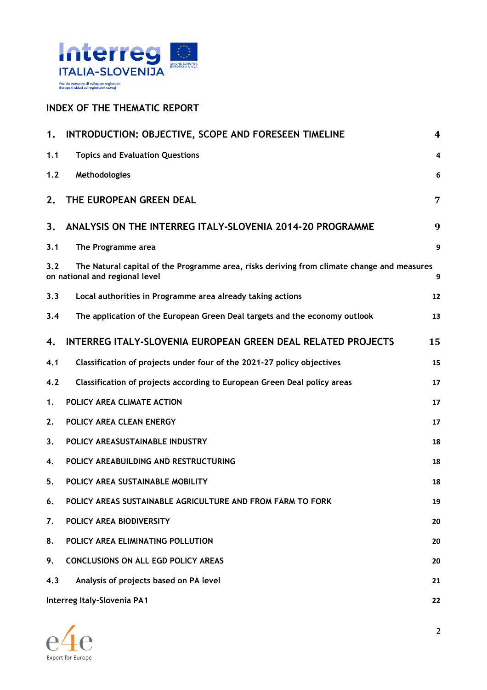

### **INDEX OF THE THEMATIC REPORT**

| 1.  | INTRODUCTION: OBJECTIVE, SCOPE AND FORESEEN TIMELINE                                                                         | 4  |
|-----|------------------------------------------------------------------------------------------------------------------------------|----|
| 1.1 | <b>Topics and Evaluation Questions</b>                                                                                       | 4  |
| 1.2 | Methodologies                                                                                                                | 6  |
| 2.  | THE EUROPEAN GREEN DEAL                                                                                                      | 7  |
| 3.  | ANALYSIS ON THE INTERREG ITALY-SLOVENIA 2014-20 PROGRAMME                                                                    | 9  |
| 3.1 | The Programme area                                                                                                           | 9  |
| 3.2 | The Natural capital of the Programme area, risks deriving from climate change and measures<br>on national and regional level | 9  |
| 3.3 | Local authorities in Programme area already taking actions                                                                   | 12 |
| 3.4 | The application of the European Green Deal targets and the economy outlook                                                   | 13 |
| 4.  | <b>INTERREG ITALY-SLOVENIA EUROPEAN GREEN DEAL RELATED PROJECTS</b>                                                          | 15 |
| 4.1 | Classification of projects under four of the 2021-27 policy objectives                                                       | 15 |
| 4.2 | Classification of projects according to European Green Deal policy areas                                                     | 17 |
| 1.  | POLICY AREA CLIMATE ACTION                                                                                                   | 17 |
| 2.  | POLICY AREA CLEAN ENERGY                                                                                                     | 17 |
| 3.  | POLICY AREASUSTAINABLE INDUSTRY                                                                                              | 18 |
| 4.  | POLICY AREABUILDING AND RESTRUCTURING                                                                                        | 18 |
| 5.  | POLICY AREA SUSTAINABLE MOBILITY                                                                                             | 18 |
| 6.  | POLICY AREAS SUSTAINABLE AGRICULTURE AND FROM FARM TO FORK                                                                   | 19 |
| 7.  | POLICY AREA BIODIVERSITY                                                                                                     | 20 |
| 8.  | POLICY AREA ELIMINATING POLLUTION                                                                                            | 20 |
| 9.  | CONCLUSIONS ON ALL EGD POLICY AREAS                                                                                          | 20 |
| 4.3 | Analysis of projects based on PA level                                                                                       | 21 |
|     | Interreg Italy-Slovenia PA1                                                                                                  | 22 |



2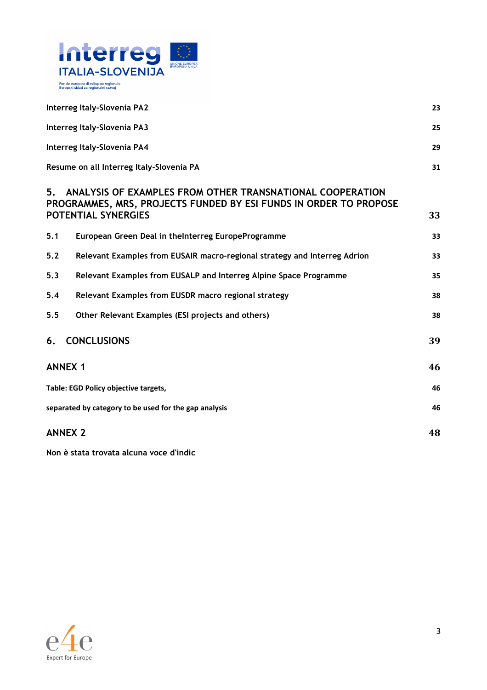

| Interreg Italy-Slovenia PA2                                                                                                                                 | 23 |
|-------------------------------------------------------------------------------------------------------------------------------------------------------------|----|
| Interreg Italy-Slovenia PA3                                                                                                                                 | 25 |
| Interreg Italy-Slovenia PA4                                                                                                                                 | 29 |
| Resume on all Interreg Italy-Slovenia PA                                                                                                                    | 31 |
| 5.<br>ANALYSIS OF EXAMPLES FROM OTHER TRANSNATIONAL COOPERATION<br>PROGRAMMES, MRS, PROJECTS FUNDED BY ESI FUNDS IN ORDER TO PROPOSE<br>POTENTIAL SYNERGIES | 33 |
| 5.1<br>European Green Deal in theInterreg EuropeProgramme                                                                                                   | 33 |
| Relevant Examples from EUSAIR macro-regional strategy and Interreg Adrion<br>5.2                                                                            | 33 |
| 5.3<br>Relevant Examples from EUSALP and Interreg Alpine Space Programme                                                                                    | 35 |
| Relevant Examples from EUSDR macro regional strategy<br>5.4                                                                                                 | 38 |
| 5.5<br>Other Relevant Examples (ESI projects and others)                                                                                                    | 38 |
| <b>CONCLUSIONS</b><br>6.                                                                                                                                    | 39 |
| <b>ANNEX 1</b>                                                                                                                                              | 46 |
| Table: EGD Policy objective targets,                                                                                                                        | 46 |
| separated by category to be used for the gap analysis                                                                                                       | 46 |
| <b>ANNEX 2</b>                                                                                                                                              | 48 |

**Non è stata trovata alcuna voce d'indic**

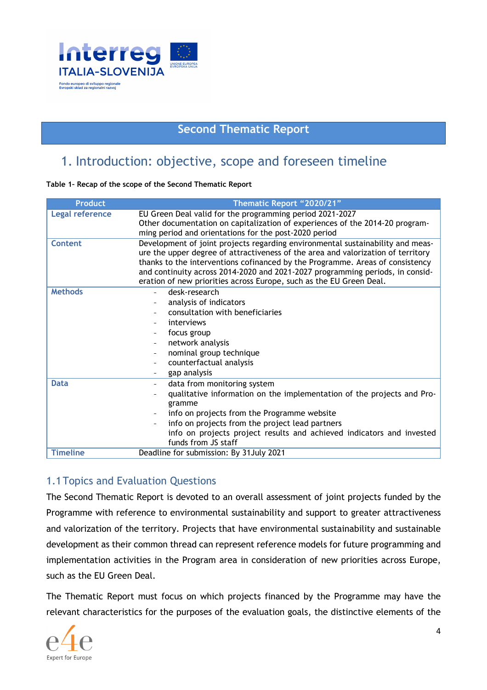

## **Second Thematic Report**

## 1. Introduction: objective, scope and foreseen timeline

#### **Table 1– Recap of the scope of the Second Thematic Report**

| <b>Product</b>         | Thematic Report "2020/21"                                                                                                                                                                                                                                                                                                                                                                                   |  |  |
|------------------------|-------------------------------------------------------------------------------------------------------------------------------------------------------------------------------------------------------------------------------------------------------------------------------------------------------------------------------------------------------------------------------------------------------------|--|--|
| <b>Legal reference</b> | EU Green Deal valid for the programming period 2021-2027<br>Other documentation on capitalization of experiences of the 2014-20 program-                                                                                                                                                                                                                                                                    |  |  |
|                        | ming period and orientations for the post-2020 period                                                                                                                                                                                                                                                                                                                                                       |  |  |
| Content                | Development of joint projects regarding environmental sustainability and meas-<br>ure the upper degree of attractiveness of the area and valorization of territory<br>thanks to the interventions cofinanced by the Programme. Areas of consistency<br>and continuity across 2014-2020 and 2021-2027 programming periods, in consid-<br>eration of new priorities across Europe, such as the EU Green Deal. |  |  |
| <b>Methods</b>         | desk-research                                                                                                                                                                                                                                                                                                                                                                                               |  |  |
|                        | analysis of indicators                                                                                                                                                                                                                                                                                                                                                                                      |  |  |
|                        | consultation with beneficiaries                                                                                                                                                                                                                                                                                                                                                                             |  |  |
|                        | interviews                                                                                                                                                                                                                                                                                                                                                                                                  |  |  |
|                        | focus group                                                                                                                                                                                                                                                                                                                                                                                                 |  |  |
|                        | network analysis                                                                                                                                                                                                                                                                                                                                                                                            |  |  |
|                        | nominal group technique                                                                                                                                                                                                                                                                                                                                                                                     |  |  |
|                        | counterfactual analysis                                                                                                                                                                                                                                                                                                                                                                                     |  |  |
|                        | gap analysis                                                                                                                                                                                                                                                                                                                                                                                                |  |  |
| <b>Data</b>            | data from monitoring system                                                                                                                                                                                                                                                                                                                                                                                 |  |  |
|                        | qualitative information on the implementation of the projects and Pro-<br>gramme                                                                                                                                                                                                                                                                                                                            |  |  |
|                        | info on projects from the Programme website                                                                                                                                                                                                                                                                                                                                                                 |  |  |
|                        | info on projects from the project lead partners                                                                                                                                                                                                                                                                                                                                                             |  |  |
|                        | info on projects project results and achieved indicators and invested<br>funds from JS staff                                                                                                                                                                                                                                                                                                                |  |  |
| <b>Timeline</b>        | Deadline for submission: By 31July 2021                                                                                                                                                                                                                                                                                                                                                                     |  |  |

#### 1.1Topics and Evaluation Questions

The Second Thematic Report is devoted to an overall assessment of joint projects funded by the Programme with reference to environmental sustainability and support to greater attractiveness and valorization of the territory. Projects that have environmental sustainability and sustainable development as their common thread can represent reference models for future programming and implementation activities in the Program area in consideration of new priorities across Europe, such as the EU Green Deal.

The Thematic Report must focus on which projects financed by the Programme may have the relevant characteristics for the purposes of the evaluation goals, the distinctive elements of the

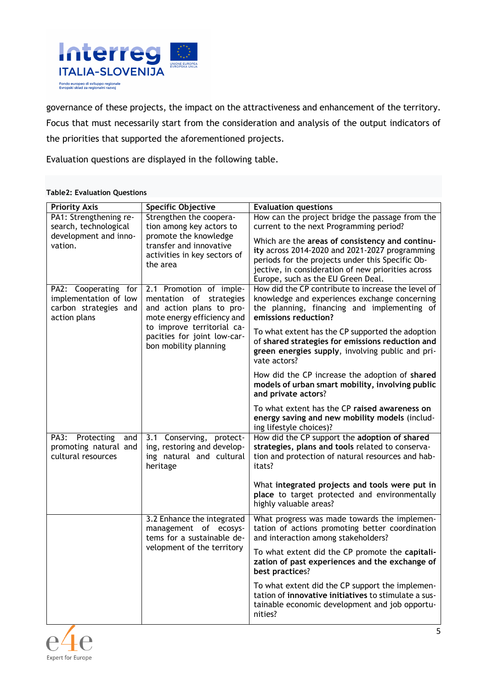

governance of these projects, the impact on the attractiveness and enhancement of the territory.

Focus that must necessarily start from the consideration and analysis of the output indicators of the priorities that supported the aforementioned projects.

Evaluation questions are displayed in the following table.

#### **Table2: Evaluation Questions**

| <b>Priority Axis</b>                                                                   | <b>Specific Objective</b>                                                                                    | <b>Evaluation questions</b>                                                                                                                                                                                                                       |
|----------------------------------------------------------------------------------------|--------------------------------------------------------------------------------------------------------------|---------------------------------------------------------------------------------------------------------------------------------------------------------------------------------------------------------------------------------------------------|
| PA1: Strengthening re-<br>search, technological                                        | Strengthen the coopera-<br>tion among key actors to                                                          | How can the project bridge the passage from the<br>current to the next Programming period?                                                                                                                                                        |
| development and inno-<br>vation.                                                       | promote the knowledge<br>transfer and innovative<br>activities in key sectors of<br>the area                 | Which are the areas of consistency and continu-<br>ity across 2014-2020 and 2021-2027 programming<br>periods for the projects under this Specific Ob-<br>jective, in consideration of new priorities across<br>Europe, such as the EU Green Deal. |
| PA2: Cooperating for<br>implementation of low<br>carbon strategies and<br>action plans | 2.1 Promotion of imple-<br>mentation of strategies<br>and action plans to pro-<br>mote energy efficiency and | How did the CP contribute to increase the level of<br>knowledge and experiences exchange concerning<br>the planning, financing and implementing of<br>emissions reduction?                                                                        |
|                                                                                        | to improve territorial ca-<br>pacities for joint low-car-<br>bon mobility planning                           | To what extent has the CP supported the adoption<br>of shared strategies for emissions reduction and<br>green energies supply, involving public and pri-<br>vate actors?                                                                          |
|                                                                                        |                                                                                                              | How did the CP increase the adoption of shared<br>models of urban smart mobility, involving public<br>and private actors?                                                                                                                         |
|                                                                                        |                                                                                                              | To what extent has the CP raised awareness on<br>energy saving and new mobility models (includ-<br>ing lifestyle choices)?                                                                                                                        |
| PA3: Protecting<br>and<br>promoting natural and<br>cultural resources                  | 3.1 Conserving, protect-<br>ing, restoring and develop-<br>ing natural and cultural<br>heritage              | How did the CP support the adoption of shared<br>strategies, plans and tools related to conserva-<br>tion and protection of natural resources and hab-<br>itats?                                                                                  |
|                                                                                        |                                                                                                              | What integrated projects and tools were put in<br>place to target protected and environmentally<br>highly valuable areas?                                                                                                                         |
|                                                                                        | 3.2 Enhance the integrated<br>management of ecosys-<br>tems for a sustainable de-                            | What progress was made towards the implemen-<br>tation of actions promoting better coordination<br>and interaction among stakeholders?                                                                                                            |
|                                                                                        | velopment of the territory                                                                                   | To what extent did the CP promote the capitali-<br>zation of past experiences and the exchange of<br>best practices?                                                                                                                              |
|                                                                                        |                                                                                                              | To what extent did the CP support the implemen-<br>tation of innovative initiatives to stimulate a sus-<br>tainable economic development and job opportu-<br>nities?                                                                              |

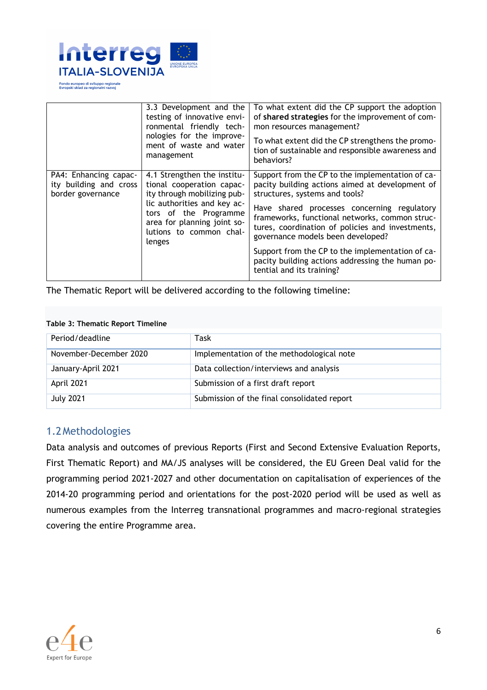

|                                                                      | 3.3 Development and the<br>testing of innovative envi-<br>ronmental friendly tech-<br>nologies for the improve-<br>ment of waste and water<br>management                                                            | To what extent did the CP support the adoption<br>of shared strategies for the improvement of com-<br>mon resources management?<br>To what extent did the CP strengthens the promo-<br>tion of sustainable and responsible awareness and<br>behaviors?                                                                                                                                                                                                               |
|----------------------------------------------------------------------|---------------------------------------------------------------------------------------------------------------------------------------------------------------------------------------------------------------------|----------------------------------------------------------------------------------------------------------------------------------------------------------------------------------------------------------------------------------------------------------------------------------------------------------------------------------------------------------------------------------------------------------------------------------------------------------------------|
| PA4: Enhancing capac-<br>ity building and cross<br>border governance | 4.1 Strengthen the institu-<br>tional cooperation capac-<br>ity through mobilizing pub-<br>lic authorities and key ac-<br>tors of the Programme<br>area for planning joint so-<br>lutions to common chal-<br>lenges | Support from the CP to the implementation of ca-<br>pacity building actions aimed at development of<br>structures, systems and tools?<br>Have shared processes concerning regulatory<br>frameworks, functional networks, common struc-<br>tures, coordination of policies and investments,<br>governance models been developed?<br>Support from the CP to the implementation of ca-<br>pacity building actions addressing the human po-<br>tential and its training? |

The Thematic Report will be delivered according to the following timeline:

#### **Table 3: Thematic Report Timeline**

| Period/deadline        | Task                                        |
|------------------------|---------------------------------------------|
| November-December 2020 | Implementation of the methodological note   |
| January-April 2021     | Data collection/interviews and analysis     |
| April 2021             | Submission of a first draft report          |
| <b>July 2021</b>       | Submission of the final consolidated report |

#### 1.2Methodologies

Data analysis and outcomes of previous Reports (First and Second Extensive Evaluation Reports, First Thematic Report) and MA/JS analyses will be considered, the EU Green Deal valid for the programming period 2021-2027 and other documentation on capitalisation of experiences of the 2014-20 programming period and orientations for the post-2020 period will be used as well as numerous examples from the Interreg transnational programmes and macro-regional strategies covering the entire Programme area.

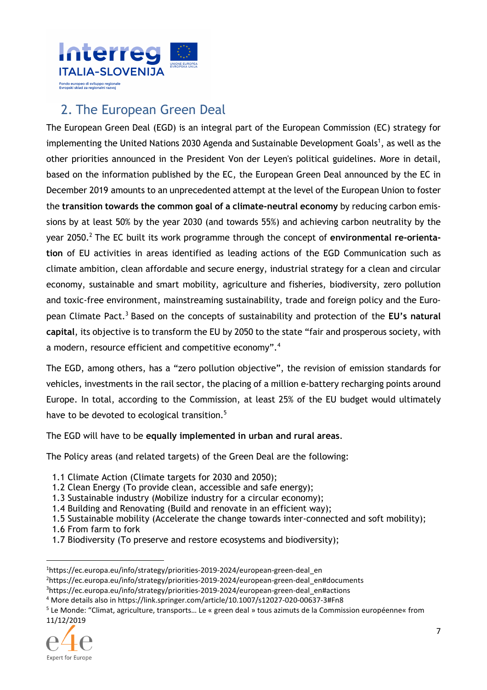

# 2. The European Green Deal

The European Green Deal (EGD) is an integral part of the European Commission (EC) strategy for implementing the United Nations 2030 Agenda and Sustainable Development Goals<sup>1</sup>, as well as the other priorities announced in the President Von der Leyen's political guidelines. More in detail, based on the information published by the EC, the European Green Deal announced by the EC in December 2019 amounts to an unprecedented attempt at the level of the European Union to foster the **transition towards the common goal of a climate-neutral economy** by reducing carbon emissions by at least 50% by the year 2030 (and towards 55%) and achieving carbon neutrality by the year 2050.<sup>2</sup> The EC built its work programme through the concept of **environmental re-orientation** of EU activities in areas identified as leading actions of the EGD Communication such as climate ambition, clean affordable and secure energy, industrial strategy for a clean and circular economy, sustainable and smart mobility, agriculture and fisheries, biodiversity, zero pollution and toxic-free environment, mainstreaming sustainability, trade and foreign policy and the European Climate Pact.<sup>3</sup> Based on the concepts of sustainability and protection of the EU's natural **capital**, its objective is to transform the EU by 2050 to the state "fair and prosperous society, with a modern, resource efficient and competitive economy".<sup>4</sup>

The EGD, among others, has a "zero pollution objective", the revision of emission standards for vehicles, investments in the rail sector, the placing of a million e-battery recharging points around Europe. In total, according to the Commission, at least 25% of the EU budget would ultimately have to be devoted to ecological transition.<sup>5</sup>

The EGD will have to be **equally implemented in urban and rural areas**.

The Policy areas (and related targets) of the Green Deal are the following:

- 1.1 Climate Action (Climate targets for 2030 and 2050);
- 1.2 Clean Energy (To provide clean, accessible and safe energy);
- 1.3 Sustainable industry (Mobilize industry for a circular economy);
- 1.4 Building and Renovating (Build and renovate in an efficient way);

1.5 Sustainable mobility (Accelerate the change towards inter-connected and soft mobility);

- 1.6 From farm to fork
- 1.7 Biodiversity (To preserve and restore ecosystems and biodiversity);

<sup>&</sup>lt;sup>5</sup> Le Monde: "Climat, agriculture, transports... Le « green deal » tous azimuts de la Commission européenne« from 11/12/2019



<sup>&</sup>lt;sup>1</sup>https://ec.europa.eu/info/strategy/priorities-2019-2024/european-green-deal\_en <sup>2</sup>https://ec.europa.eu/info/strategy/priorities-2019-2024/european-green-deal\_en#documents <sup>3</sup>https://ec.europa.eu/info/strategy/priorities-2019-2024/european-green-deal en#actions

<sup>4</sup> More details also in https://link.springer.com/article/10.1007/s12027-020-00637-3#Fn8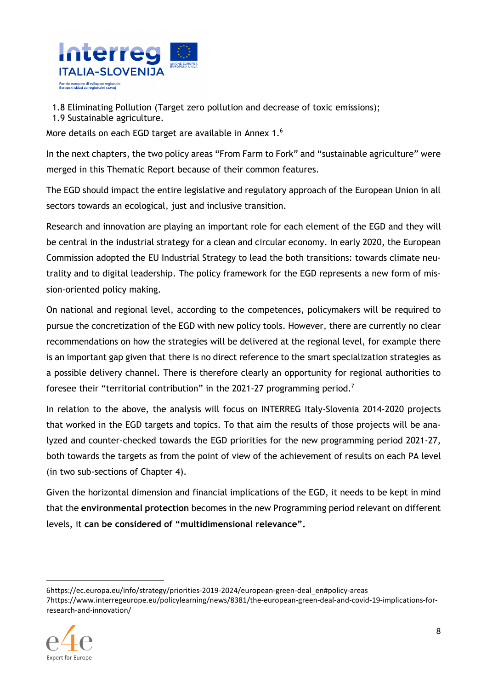

1.8 Eliminating Pollution (Target zero pollution and decrease of toxic emissions);

1.9 Sustainable agriculture.

More details on each EGD target are available in Annex 1.<sup>6</sup>

In the next chapters, the two policy areas "From Farm to Fork" and "sustainable agriculture" were merged in this Thematic Report because of their common features.

The EGD should impact the entire legislative and regulatory approach of the European Union in all sectors towards an ecological, just and inclusive transition.

Research and innovation are playing an important role for each element of the EGD and they will be central in the industrial strategy for a clean and circular economy. In early 2020, the European Commission adopted the EU Industrial Strategy to lead the both transitions: towards climate neutrality and to digital leadership. The policy framework for the EGD represents a new form of mission-oriented policy making.

On national and regional level, according to the competences, policymakers will be required to pursue the concretization of the EGD with new policy tools. However, there are currently no clear recommendations on how the strategies will be delivered at the regional level, for example there is an important gap given that there is no direct reference to the smart specialization strategies as a possible delivery channel. There is therefore clearly an opportunity for regional authorities to foresee their "territorial contribution" in the 2021-27 programming period.<sup>7</sup>

In relation to the above, the analysis will focus on INTERREG Italy-Slovenia 2014-2020 projects that worked in the EGD targets and topics. To that aim the results of those projects will be analyzed and counter-checked towards the EGD priorities for the new programming period 2021-27, both towards the targets as from the point of view of the achievement of results on each PA level (in two sub-sections of Chapter 4).

Given the horizontal dimension and financial implications of the EGD, it needs to be kept in mind that the **environmental protection** becomes in the new Programming period relevant on different levels, it **can be considered of "multidimensional relevance".** 

<sup>7</sup>https://www.interregeurope.eu/policylearning/news/8381/the-european-green-deal-and-covid-19-implications-forresearch-and-innovation/



<sup>6</sup>https://ec.europa.eu/info/strategy/priorities-2019-2024/european-green-deal\_en#policy-areas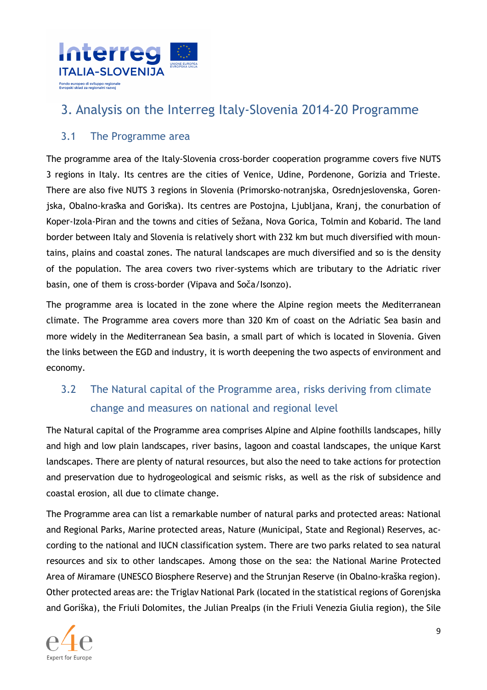

# 3. Analysis on the Interreg Italy-Slovenia 2014-20 Programme

### 3.1 The Programme area

The programme area of the Italy-Slovenia cross-border cooperation programme covers five NUTS 3 regions in Italy. Its centres are the cities of Venice, Udine, Pordenone, Gorizia and Trieste. There are also five NUTS 3 regions in Slovenia (Primorsko-notranjska, Osrednjeslovenska, Gorenjska, Obalno-kraška and Goriška). Its centres are Postojna, Ljubljana, Kranj, the conurbation of Koper-Izola-Piran and the towns and cities of Sežana, Nova Gorica, Tolmin and Kobarid. The land border between Italy and Slovenia is relatively short with 232 km but much diversified with mountains, plains and coastal zones. The natural landscapes are much diversified and so is the density of the population. The area covers two river-systems which are tributary to the Adriatic river basin, one of them is cross-border (Vipava and Soča/Isonzo).

The programme area is located in the zone where the Alpine region meets the Mediterranean climate. The Programme area covers more than 320 Km of coast on the Adriatic Sea basin and more widely in the Mediterranean Sea basin, a small part of which is located in Slovenia. Given the links between the EGD and industry, it is worth deepening the two aspects of environment and economy.

# 3.2 The Natural capital of the Programme area, risks deriving from climate change and measures on national and regional level

The Natural capital of the Programme area comprises Alpine and Alpine foothills landscapes, hilly and high and low plain landscapes, river basins, lagoon and coastal landscapes, the unique Karst landscapes. There are plenty of natural resources, but also the need to take actions for protection and preservation due to hydrogeological and seismic risks, as well as the risk of subsidence and coastal erosion, all due to climate change.

The Programme area can list a remarkable number of natural parks and protected areas: National and Regional Parks, Marine protected areas, Nature (Municipal, State and Regional) Reserves, according to the national and IUCN classification system. There are two parks related to sea natural resources and six to other landscapes. Among those on the sea: the National Marine Protected Area of Miramare (UNESCO Biosphere Reserve) and the Strunjan Reserve (in Obalno-kraška region). Other protected areas are: the Triglav National Park (located in the statistical regions of Gorenjska and Goriška), the Friuli Dolomites, the Julian Prealps (in the Friuli Venezia Giulia region), the Sile

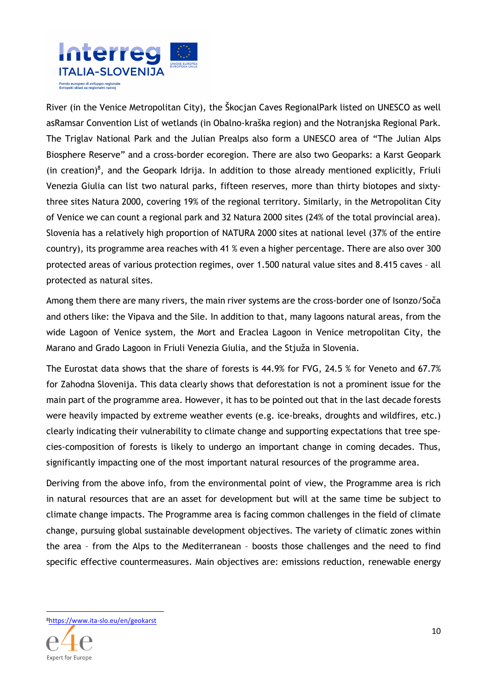

River (in the Venice Metropolitan City), the Škocjan Caves RegionalPark listed on UNESCO as well asRamsar Convention List of wetlands (in Obalno-kraška region) and the Notranjska Regional Park. The Triglav National Park and the Julian Prealps also form a UNESCO area of "The Julian Alps Biosphere Reserve" and a cross-border ecoregion. There are also two Geoparks: a Karst Geopark (in creation)<sup>8</sup>, and the Geopark Idrija. In addition to those already mentioned explicitly, Friuli Venezia Giulia can list two natural parks, fifteen reserves, more than thirty biotopes and sixtythree sites Natura 2000, covering 19% of the regional territory. Similarly, in the Metropolitan City of Venice we can count a regional park and 32 Natura 2000 sites (24% of the total provincial area). Slovenia has a relatively high proportion of NATURA 2000 sites at national level (37% of the entire country), its programme area reaches with 41 % even a higher percentage. There are also over 300 protected areas of various protection regimes, over 1.500 natural value sites and 8.415 caves – all protected as natural sites.

Among them there are many rivers, the main river systems are the cross-border one of Isonzo/Soča and others like: the Vipava and the Sile. In addition to that, many lagoons natural areas, from the wide Lagoon of Venice system, the Mort and Eraclea Lagoon in Venice metropolitan City, the Marano and Grado Lagoon in Friuli Venezia Giulia, and the Stjuža in Slovenia.

The Eurostat data shows that the share of forests is 44.9% for FVG, 24.5 % for Veneto and 67.7% for Zahodna Slovenija. This data clearly shows that deforestation is not a prominent issue for the main part of the programme area. However, it has to be pointed out that in the last decade forests were heavily impacted by extreme weather events (e.g. ice-breaks, droughts and wildfires, etc.) clearly indicating their vulnerability to climate change and supporting expectations that tree species-composition of forests is likely to undergo an important change in coming decades. Thus, significantly impacting one of the most important natural resources of the programme area.

Deriving from the above info, from the environmental point of view, the Programme area is rich in natural resources that are an asset for development but will at the same time be subject to climate change impacts. The Programme area is facing common challenges in the field of climate change, pursuing global sustainable development objectives. The variety of climatic zones within the area – from the Alps to the Mediterranean – boosts those challenges and the need to find specific effective countermeasures. Main objectives are: emissions reduction, renewable energy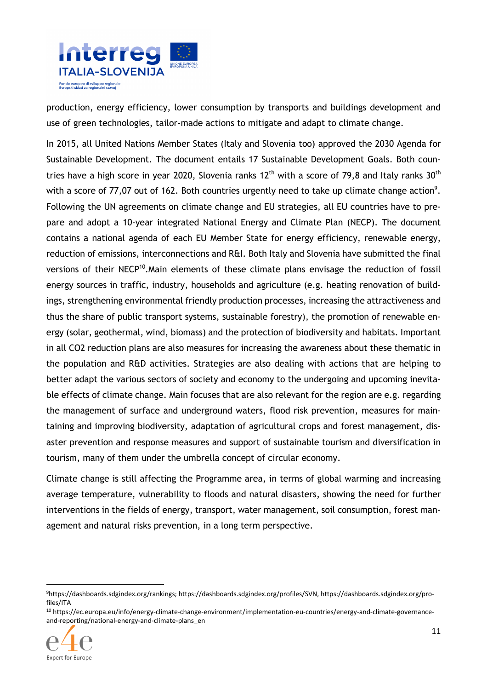

production, energy efficiency, lower consumption by transports and buildings development and use of green technologies, tailor-made actions to mitigate and adapt to climate change.

In 2015, all United Nations Member States (Italy and Slovenia too) approved the 2030 Agenda for Sustainable Development. The document entails 17 Sustainable Development Goals. Both countries have a high score in year 2020, Slovenia ranks  $12<sup>th</sup>$  with a score of 79.8 and Italy ranks  $30<sup>th</sup>$ with a score of 77,07 out of 162. Both countries urgently need to take up climate change action<sup>9</sup>. Following the UN agreements on climate change and EU strategies, all EU countries have to prepare and adopt a 10-year integrated National Energy and Climate Plan (NECP). The document contains a national agenda of each EU Member State for energy efficiency, renewable energy, reduction of emissions, interconnections and R&I. Both Italy and Slovenia have submitted the final versions of their NECP<sup>10</sup>. Main elements of these climate plans envisage the reduction of fossil energy sources in traffic, industry, households and agriculture (e.g. heating renovation of buildings, strengthening environmental friendly production processes, increasing the attractiveness and thus the share of public transport systems, sustainable forestry), the promotion of renewable energy (solar, geothermal, wind, biomass) and the protection of biodiversity and habitats. Important in all CO2 reduction plans are also measures for increasing the awareness about these thematic in the population and R&D activities. Strategies are also dealing with actions that are helping to better adapt the various sectors of society and economy to the undergoing and upcoming inevitable effects of climate change. Main focuses that are also relevant for the region are e.g. regarding the management of surface and underground waters, flood risk prevention, measures for maintaining and improving biodiversity, adaptation of agricultural crops and forest management, disaster prevention and response measures and support of sustainable tourism and diversification in tourism, many of them under the umbrella concept of circular economy.

Climate change is still affecting the Programme area, in terms of global warming and increasing average temperature, vulnerability to floods and natural disasters, showing the need for further interventions in the fields of energy, transport, water management, soil consumption, forest management and natural risks prevention, in a long term perspective.

<sup>10</sup> https://ec.europa.eu/info/energy-climate-change-environment/implementation-eu-countries/energy-and-climate-governanceand-reporting/national-energy-and-climate-plans\_en



<sup>9</sup>https://dashboards.sdgindex.org/rankings; https://dashboards.sdgindex.org/profiles/SVN, https://dashboards.sdgindex.org/profiles/ITA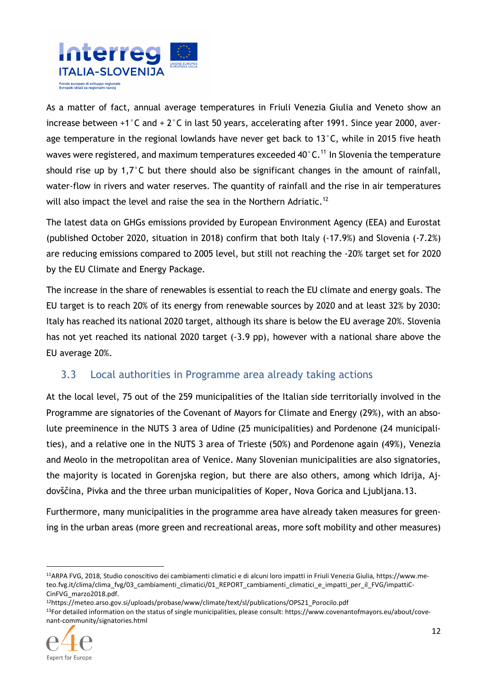

As a matter of fact, annual average temperatures in Friuli Venezia Giulia and Veneto show an increase between +1°C and + 2°C in last 50 years, accelerating after 1991. Since year 2000, average temperature in the regional lowlands have never get back to 13°C, while in 2015 five heath waves were registered, and maximum temperatures exceeded  $40^{\circ}$ C.<sup>11</sup> In Slovenia the temperature should rise up by 1,7°C but there should also be significant changes in the amount of rainfall, water-flow in rivers and water reserves. The quantity of rainfall and the rise in air temperatures will also impact the level and raise the sea in the Northern Adriatic.<sup>12</sup>

The latest data on GHGs emissions provided by European Environment Agency (EEA) and Eurostat (published October 2020, situation in 2018) confirm that both Italy (-17.9%) and Slovenia (-7.2%) are reducing emissions compared to 2005 level, but still not reaching the -20% target set for 2020 by the EU Climate and Energy Package.

The increase in the share of renewables is essential to reach the EU climate and energy goals. The EU target is to reach 20% of its energy from renewable sources by 2020 and at least 32% by 2030: Italy has reached its national 2020 target, although its share is below the EU average 20%. Slovenia has not yet reached its national 2020 target (-3.9 pp), however with a national share above the EU average 20%.

### 3.3 Local authorities in Programme area already taking actions

At the local level, 75 out of the 259 municipalities of the Italian side territorially involved in the Programme are signatories of the Covenant of Mayors for Climate and Energy (29%), with an absolute preeminence in the NUTS 3 area of Udine (25 municipalities) and Pordenone (24 municipalities), and a relative one in the NUTS 3 area of Trieste (50%) and Pordenone again (49%), Venezia and Meolo in the metropolitan area of Venice. Many Slovenian municipalities are also signatories, the majority is located in Gorenjska region, but there are also others, among which Idrija, Ajdovščina, Pivka and the three urban municipalities of Koper, Nova Gorica and Ljubljana.13.

Furthermore, many municipalities in the programme area have already taken measures for greening in the urban areas (more green and recreational areas, more soft mobility and other measures)

13For detailed information on the status of single municipalities, please consult: https://www.covenantofmayors.eu/about/covenant-community/signatories.html



<sup>11</sup>ARPA FVG, 2018, Studio conoscitivo dei cambiamenti climatici e di alcuni loro impatti in Friuli Venezia Giulia, https://www.meteo.fvg.it/clima/clima\_fvg/03\_cambiamenti\_climatici/01\_REPORT\_cambiamenti\_climatici\_e\_impatti\_per\_il\_FVG/impattiC-CinFVG\_marzo2018.pdf.

<sup>12</sup>https://meteo.arso.gov.si/uploads/probase/www/climate/text/sl/publications/OPS21\_Porocilo.pdf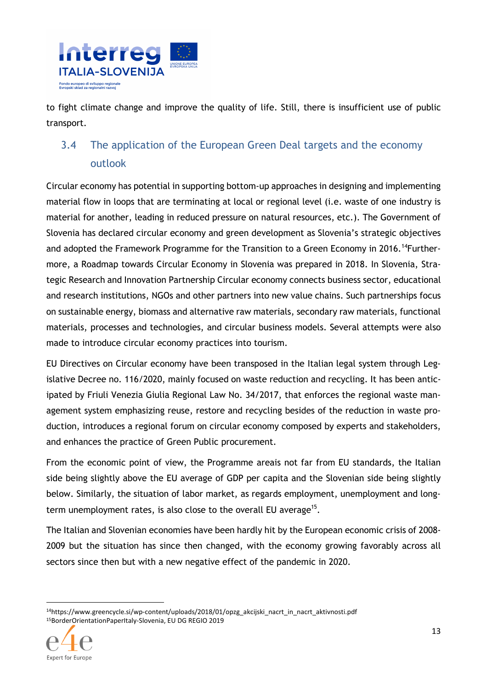

to fight climate change and improve the quality of life. Still, there is insufficient use of public transport.

# 3.4 The application of the European Green Deal targets and the economy outlook

Circular economy has potential in supporting bottom-up approaches in designing and implementing material flow in loops that are terminating at local or regional level (i.e. waste of one industry is material for another, leading in reduced pressure on natural resources, etc.). The Government of Slovenia has declared circular economy and green development as Slovenia's strategic objectives and adopted the Framework Programme for the Transition to a Green Economy in 2016.<sup>14</sup>Furthermore, a Roadmap towards Circular Economy in Slovenia was prepared in 2018. In Slovenia, Strategic Research and Innovation Partnership Circular economy connects business sector, educational and research institutions, NGOs and other partners into new value chains. Such partnerships focus on sustainable energy, biomass and alternative raw materials, secondary raw materials, functional materials, processes and technologies, and circular business models. Several attempts were also made to introduce circular economy practices into tourism.

EU Directives on Circular economy have been transposed in the Italian legal system through Legislative Decree no. 116/2020, mainly focused on waste reduction and recycling. It has been anticipated by Friuli Venezia Giulia Regional Law No. 34/2017, that enforces the regional waste management system emphasizing reuse, restore and recycling besides of the reduction in waste production, introduces a regional forum on circular economy composed by experts and stakeholders, and enhances the practice of Green Public procurement.

From the economic point of view, the Programme areais not far from EU standards, the Italian side being slightly above the EU average of GDP per capita and the Slovenian side being slightly below. Similarly, the situation of labor market, as regards employment, unemployment and longterm unemployment rates, is also close to the overall EU average<sup>15</sup>.

The Italian and Slovenian economies have been hardly hit by the European economic crisis of 2008- 2009 but the situation has since then changed, with the economy growing favorably across all sectors since then but with a new negative effect of the pandemic in 2020.

<sup>14</sup>https://www.greencycle.si/wp-content/uploads/2018/01/opzg\_akcijski\_nacrt\_in\_nacrt\_aktivnosti.pdf 15BorderOrientationPaperItaly-Slovenia, EU DG REGIO 2019

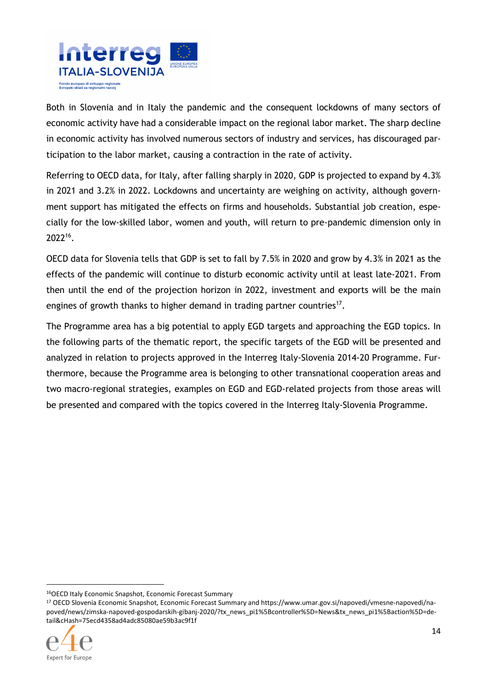

Both in Slovenia and in Italy the pandemic and the consequent lockdowns of many sectors of economic activity have had a considerable impact on the regional labor market. The sharp decline in economic activity has involved numerous sectors of industry and services, has discouraged participation to the labor market, causing a contraction in the rate of activity.

Referring to OECD data, for Italy, after falling sharply in 2020, GDP is projected to expand by 4.3% in 2021 and 3.2% in 2022. Lockdowns and uncertainty are weighing on activity, although government support has mitigated the effects on firms and households. Substantial job creation, especially for the low-skilled labor, women and youth, will return to pre-pandemic dimension only in 2022<sup>16</sup> .

OECD data for Slovenia tells that GDP is set to fall by 7.5% in 2020 and grow by 4.3% in 2021 as the effects of the pandemic will continue to disturb economic activity until at least late-2021. From then until the end of the projection horizon in 2022, investment and exports will be the main engines of growth thanks to higher demand in trading partner countries<sup>17</sup>.

The Programme area has a big potential to apply EGD targets and approaching the EGD topics. In the following parts of the thematic report, the specific targets of the EGD will be presented and analyzed in relation to projects approved in the Interreg Italy-Slovenia 2014-20 Programme. Furthermore, because the Programme area is belonging to other transnational cooperation areas and two macro-regional strategies, examples on EGD and EGD-related projects from those areas will be presented and compared with the topics covered in the Interreg Italy-Slovenia Programme.

<sup>17</sup> OECD Slovenia Economic Snapshot, Economic Forecast Summary and https://www.umar.gov.si/napovedi/vmesne-napovedi/napoved/news/zimska-napoved-gospodarskih-gibanj-2020/?tx\_news\_pi1%5Bcontroller%5D=News&tx\_news\_pi1%5Baction%5D=detail&cHash=75ecd4358ad4adc85080ae59b3ac9f1f



<sup>16</sup>OECD Italy Economic Snapshot, Economic Forecast Summary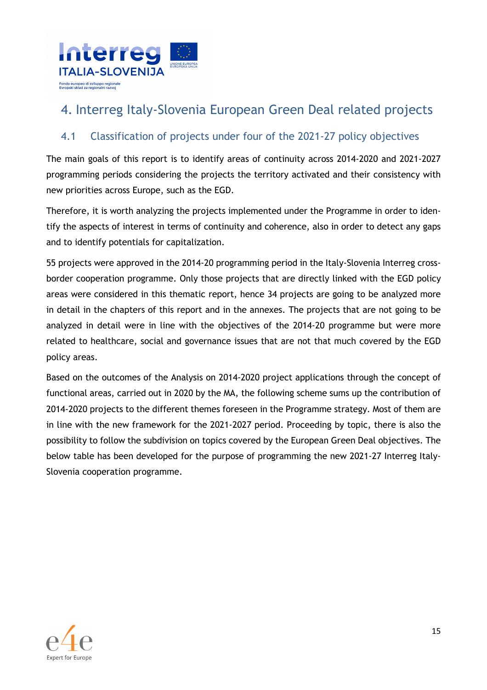

# 4. Interreg Italy-Slovenia European Green Deal related projects

### 4.1 Classification of projects under four of the 2021-27 policy objectives

The main goals of this report is to identify areas of continuity across 2014-2020 and 2021-2027 programming periods considering the projects the territory activated and their consistency with new priorities across Europe, such as the EGD.

Therefore, it is worth analyzing the projects implemented under the Programme in order to identify the aspects of interest in terms of continuity and coherence, also in order to detect any gaps and to identify potentials for capitalization.

55 projects were approved in the 2014-20 programming period in the Italy-Slovenia Interreg crossborder cooperation programme. Only those projects that are directly linked with the EGD policy areas were considered in this thematic report, hence 34 projects are going to be analyzed more in detail in the chapters of this report and in the annexes. The projects that are not going to be analyzed in detail were in line with the objectives of the 2014-20 programme but were more related to healthcare, social and governance issues that are not that much covered by the EGD policy areas.

Based on the outcomes of the Analysis on 2014-2020 project applications through the concept of functional areas, carried out in 2020 by the MA, the following scheme sums up the contribution of 2014-2020 projects to the different themes foreseen in the Programme strategy. Most of them are in line with the new framework for the 2021-2027 period. Proceeding by topic, there is also the possibility to follow the subdivision on topics covered by the European Green Deal objectives. The below table has been developed for the purpose of programming the new 2021-27 Interreg Italy-Slovenia cooperation programme.

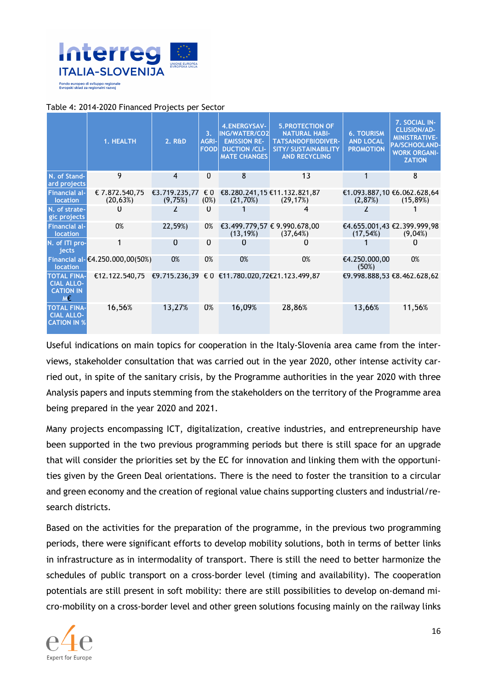

#### Table 4: 2014-2020 Financed Projects per Sector

|                                                                   | 1. HEALTH                                                     | $2.$ R&D                 | 3 <sub>1</sub><br><b>AGRI-</b><br><b>FOOD</b> | <b>4.ENERGYSAV-</b><br><b>ING/WATER/CO2</b><br><b>EMISSION RE-</b><br><b>DUCTION /CLI-</b><br><b>MATE CHANGES</b> | <b>5. PROTECTION OF</b><br><b>NATURAL HABI-</b><br><b>TATSANDOFBIODIVER-</b><br><b>SITY/ SUSTAINABILITY</b><br><b>AND RECYCLING</b> | <b>6. TOURISM</b><br><b>AND LOCAL</b><br><b>PROMOTION</b> | 7. SOCIAL IN-<br><b>CLUSION/AD-</b><br><b>MINISTRATIVE-</b><br><b>PA/SCHOOLAND-</b><br><b>WORK ORGANI-</b><br><b>ZATION</b> |
|-------------------------------------------------------------------|---------------------------------------------------------------|--------------------------|-----------------------------------------------|-------------------------------------------------------------------------------------------------------------------|-------------------------------------------------------------------------------------------------------------------------------------|-----------------------------------------------------------|-----------------------------------------------------------------------------------------------------------------------------|
| N. of Stand-<br>ard projects                                      | 9                                                             | 4                        | $\Omega$                                      | 8                                                                                                                 | 13                                                                                                                                  |                                                           | 8                                                                                                                           |
| <b>Financial al-</b><br><b>location</b>                           | € 7.872.540.75<br>(20, 63%)                                   | €3.719.235.77<br>(9,75%) | € 0<br>(0%)                                   | (21,70%)                                                                                                          | €8.280.241,15 €11.132.821,87<br>(29, 17%)                                                                                           | (2,87%)                                                   | €1.093.887,10 €6.062.628,64<br>(15,89%)                                                                                     |
| N. of strate-<br>gic projects                                     |                                                               | 2                        | $\Omega$                                      |                                                                                                                   | 4                                                                                                                                   | 7                                                         |                                                                                                                             |
| <b>Financial al-</b><br>location                                  | 0%                                                            | 22,59%)                  | 0%                                            | (13, 19%)                                                                                                         | €3.499.779,57 € 9.990.678,00<br>(37, 64%)                                                                                           | (17, 54%)                                                 | €4.655.001,43 €2.399.999,98<br>(9,04%)                                                                                      |
| N. of ITI pro-<br>iects                                           |                                                               | $\Omega$                 | $\Omega$                                      | $\Omega$                                                                                                          | 0                                                                                                                                   |                                                           |                                                                                                                             |
| <b>location</b>                                                   | Financial al- $(4.250.000, 00(50))$                           | 0%                       | 0%                                            | 0%                                                                                                                | 0%                                                                                                                                  | €4.250.000,00<br>(50%)                                    | 0%                                                                                                                          |
| <b>TOTAL FINA-</b><br><b>CIAL ALLO-</b><br><b>CATION IN</b><br>M€ | €12.122.540,75 €9.715.236,39 € 0 €11.780.020,72€21.123.499,87 |                          |                                               |                                                                                                                   |                                                                                                                                     |                                                           | €9.998.888,53 €8.462.628,62                                                                                                 |
| <b>TOTAL FINA-</b><br><b>CIAL ALLO-</b><br><b>CATION IN %</b>     | 16,56%                                                        | 13,27%                   | 0%                                            | 16,09%                                                                                                            | 28,86%                                                                                                                              | 13,66%                                                    | 11,56%                                                                                                                      |

Useful indications on main topics for cooperation in the Italy-Slovenia area came from the interviews, stakeholder consultation that was carried out in the year 2020, other intense activity carried out, in spite of the sanitary crisis, by the Programme authorities in the year 2020 with three Analysis papers and inputs stemming from the stakeholders on the territory of the Programme area being prepared in the year 2020 and 2021.

Many projects encompassing ICT, digitalization, creative industries, and entrepreneurship have been supported in the two previous programming periods but there is still space for an upgrade that will consider the priorities set by the EC for innovation and linking them with the opportunities given by the Green Deal orientations. There is the need to foster the transition to a circular and green economy and the creation of regional value chains supporting clusters and industrial/research districts.

Based on the activities for the preparation of the programme, in the previous two programming periods, there were significant efforts to develop mobility solutions, both in terms of better links in infrastructure as in intermodality of transport. There is still the need to better harmonize the schedules of public transport on a cross-border level (timing and availability). The cooperation potentials are still present in soft mobility: there are still possibilities to develop on-demand micro-mobility on a cross-border level and other green solutions focusing mainly on the railway links

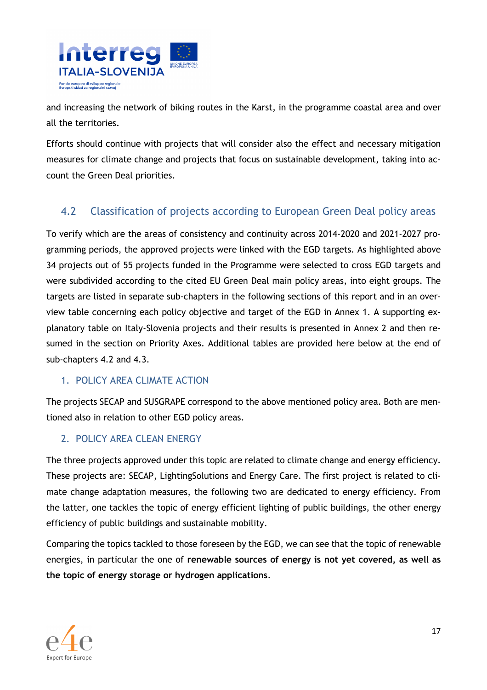

and increasing the network of biking routes in the Karst, in the programme coastal area and over all the territories.

Efforts should continue with projects that will consider also the effect and necessary mitigation measures for climate change and projects that focus on sustainable development, taking into account the Green Deal priorities.

## 4.2 Classification of projects according to European Green Deal policy areas

To verify which are the areas of consistency and continuity across 2014-2020 and 2021-2027 programming periods, the approved projects were linked with the EGD targets. As highlighted above 34 projects out of 55 projects funded in the Programme were selected to cross EGD targets and were subdivided according to the cited EU Green Deal main policy areas, into eight groups. The targets are listed in separate sub-chapters in the following sections of this report and in an overview table concerning each policy objective and target of the EGD in Annex 1. A supporting explanatory table on Italy-Slovenia projects and their results is presented in Annex 2 and then resumed in the section on Priority Axes. Additional tables are provided here below at the end of sub-chapters 4.2 and 4.3.

#### 1. POLICY AREA CLIMATE ACTION

The projects SECAP and SUSGRAPE correspond to the above mentioned policy area. Both are mentioned also in relation to other EGD policy areas.

### 2. POLICY AREA CLEAN ENERGY

The three projects approved under this topic are related to climate change and energy efficiency. These projects are: SECAP, LightingSolutions and Energy Care. The first project is related to climate change adaptation measures, the following two are dedicated to energy efficiency. From the latter, one tackles the topic of energy efficient lighting of public buildings, the other energy efficiency of public buildings and sustainable mobility.

Comparing the topics tackled to those foreseen by the EGD, we can see that the topic of renewable energies, in particular the one of **renewable sources of energy is not yet covered, as well as the topic of energy storage or hydrogen applications**.

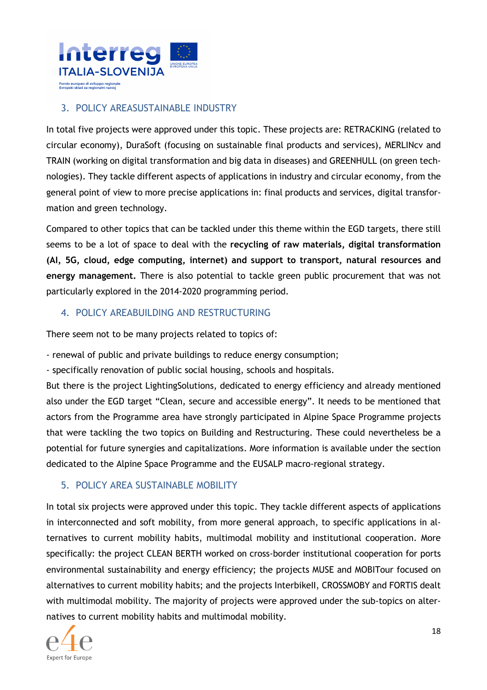

### 3. POLICY AREASUSTAINABLE INDUSTRY

In total five projects were approved under this topic. These projects are: RETRACKING (related to circular economy), DuraSoft (focusing on sustainable final products and services), MERLINcv and TRAIN (working on digital transformation and big data in diseases) and GREENHULL (on green technologies). They tackle different aspects of applications in industry and circular economy, from the general point of view to more precise applications in: final products and services, digital transformation and green technology.

Compared to other topics that can be tackled under this theme within the EGD targets, there still seems to be a lot of space to deal with the **recycling of raw materials, digital transformation (AI, 5G, cloud, edge computing, internet) and support to transport, natural resources and energy management.** There is also potential to tackle green public procurement that was not particularly explored in the 2014-2020 programming period.

#### 4. POLICY AREABUILDING AND RESTRUCTURING

There seem not to be many projects related to topics of:

- renewal of public and private buildings to reduce energy consumption;

- specifically renovation of public social housing, schools and hospitals.

But there is the project LightingSolutions, dedicated to energy efficiency and already mentioned also under the EGD target "Clean, secure and accessible energy". It needs to be mentioned that actors from the Programme area have strongly participated in Alpine Space Programme projects that were tackling the two topics on Building and Restructuring. These could nevertheless be a potential for future synergies and capitalizations. More information is available under the section dedicated to the Alpine Space Programme and the EUSALP macro-regional strategy.

### 5. POLICY AREA SUSTAINABLE MOBILITY

In total six projects were approved under this topic. They tackle different aspects of applications in interconnected and soft mobility, from more general approach, to specific applications in alternatives to current mobility habits, multimodal mobility and institutional cooperation. More specifically: the project CLEAN BERTH worked on cross-border institutional cooperation for ports environmental sustainability and energy efficiency; the projects MUSE and MOBITour focused on alternatives to current mobility habits; and the projects InterbikeII, CROSSMOBY and FORTIS dealt with multimodal mobility. The majority of projects were approved under the sub-topics on alternatives to current mobility habits and multimodal mobility.

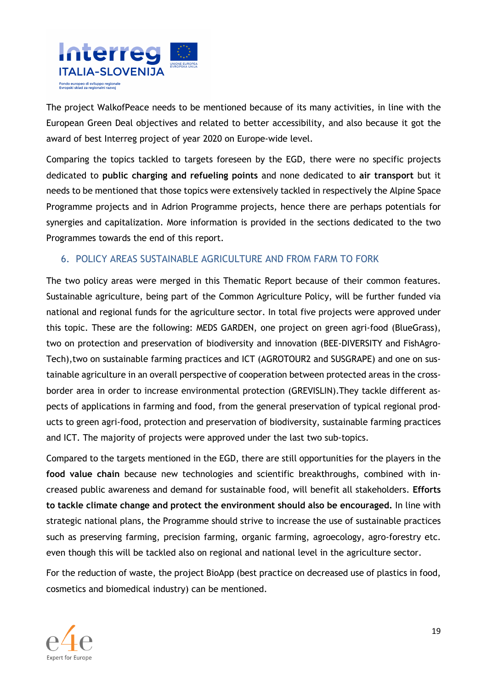

The project WalkofPeace needs to be mentioned because of its many activities, in line with the European Green Deal objectives and related to better accessibility, and also because it got the award of best Interreg project of year 2020 on Europe-wide level.

Comparing the topics tackled to targets foreseen by the EGD, there were no specific projects dedicated to **public charging and refueling points** and none dedicated to **air transport** but it needs to be mentioned that those topics were extensively tackled in respectively the Alpine Space Programme projects and in Adrion Programme projects, hence there are perhaps potentials for synergies and capitalization. More information is provided in the sections dedicated to the two Programmes towards the end of this report.

#### 6. POLICY AREAS SUSTAINABLE AGRICULTURE AND FROM FARM TO FORK

The two policy areas were merged in this Thematic Report because of their common features. Sustainable agriculture, being part of the Common Agriculture Policy, will be further funded via national and regional funds for the agriculture sector. In total five projects were approved under this topic. These are the following: MEDS GARDEN, one project on green agri-food (BlueGrass), two on protection and preservation of biodiversity and innovation (BEE-DIVERSITY and FishAgro-Tech),two on sustainable farming practices and ICT (AGROTOUR2 and SUSGRAPE) and one on sustainable agriculture in an overall perspective of cooperation between protected areas in the crossborder area in order to increase environmental protection (GREVISLIN).They tackle different aspects of applications in farming and food, from the general preservation of typical regional products to green agri-food, protection and preservation of biodiversity, sustainable farming practices and ICT. The majority of projects were approved under the last two sub-topics.

Compared to the targets mentioned in the EGD, there are still opportunities for the players in the **food value chain** because new technologies and scientific breakthroughs, combined with increased public awareness and demand for sustainable food, will benefit all stakeholders. **Efforts to tackle climate change and protect the environment should also be encouraged.** In line with strategic national plans, the Programme should strive to increase the use of sustainable practices such as preserving farming, precision farming, organic farming, agroecology, agro-forestry etc. even though this will be tackled also on regional and national level in the agriculture sector.

For the reduction of waste, the project BioApp (best practice on decreased use of plastics in food, cosmetics and biomedical industry) can be mentioned.

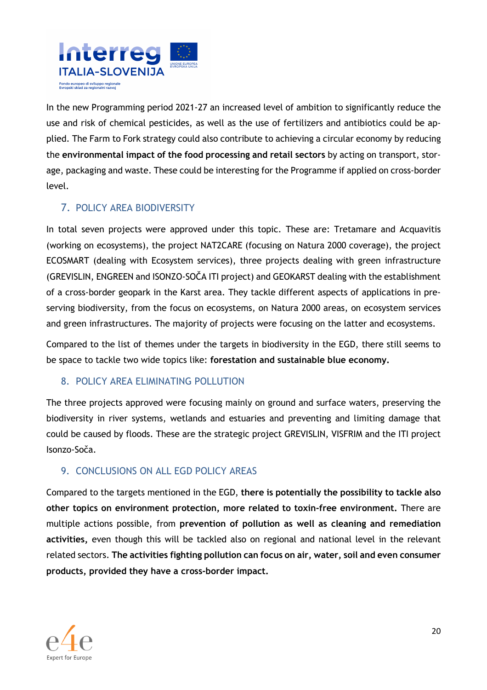

In the new Programming period 2021-27 an increased level of ambition to significantly reduce the use and risk of chemical pesticides, as well as the use of fertilizers and antibiotics could be applied. The Farm to Fork strategy could also contribute to achieving a circular economy by reducing the **environmental impact of the food processing and retail sectors** by acting on transport, storage, packaging and waste. These could be interesting for the Programme if applied on cross-border level.

### 7. POLICY AREA BIODIVERSITY

In total seven projects were approved under this topic. These are: Tretamare and Acquavitis (working on ecosystems), the project NAT2CARE (focusing on Natura 2000 coverage), the project ECOSMART (dealing with Ecosystem services), three projects dealing with green infrastructure (GREVISLIN, ENGREEN and ISONZO-SOČA ITI project) and GEOKARST dealing with the establishment of a cross-border geopark in the Karst area. They tackle different aspects of applications in preserving biodiversity, from the focus on ecosystems, on Natura 2000 areas, on ecosystem services and green infrastructures. The majority of projects were focusing on the latter and ecosystems.

Compared to the list of themes under the targets in biodiversity in the EGD, there still seems to be space to tackle two wide topics like: **forestation and sustainable blue economy.** 

#### 8. POLICY AREA ELIMINATING POLLUTION

The three projects approved were focusing mainly on ground and surface waters, preserving the biodiversity in river systems, wetlands and estuaries and preventing and limiting damage that could be caused by floods. These are the strategic project GREVISLIN, VISFRIM and the ITI project Isonzo-Soča.

#### 9. CONCLUSIONS ON ALL EGD POLICY AREAS

Compared to the targets mentioned in the EGD, **there is potentially the possibility to tackle also other topics on environment protection, more related to toxin-free environment.** There are multiple actions possible, from **prevention of pollution as well as cleaning and remediation activities,** even though this will be tackled also on regional and national level in the relevant related sectors. **The activities fighting pollution can focus on air, water, soil and even consumer products, provided they have a cross-border impact.**

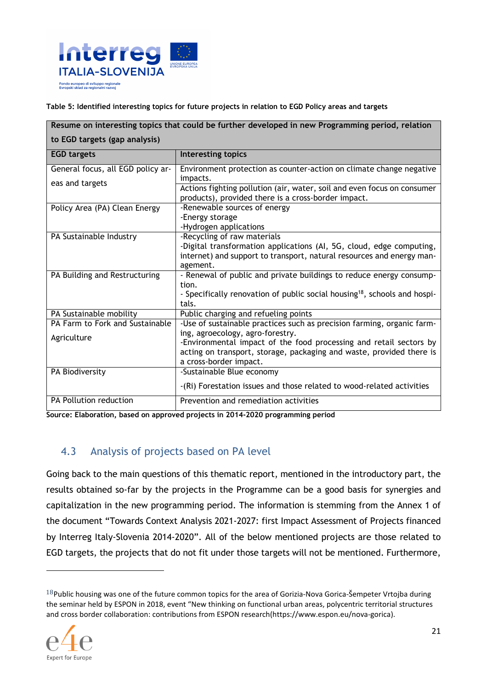

**Table 5: Identified interesting topics for future projects in relation to EGD Policy areas and targets** 

| Resume on interesting topics that could be further developed in new Programming period, relation |                                                                                       |  |
|--------------------------------------------------------------------------------------------------|---------------------------------------------------------------------------------------|--|
| to EGD targets (gap analysis)                                                                    |                                                                                       |  |
|                                                                                                  |                                                                                       |  |
| <b>EGD targets</b>                                                                               | <b>Interesting topics</b>                                                             |  |
| General focus, all EGD policy ar-                                                                | Environment protection as counter-action on climate change negative                   |  |
| eas and targets                                                                                  | impacts.                                                                              |  |
|                                                                                                  | Actions fighting pollution (air, water, soil and even focus on consumer               |  |
|                                                                                                  | products), provided there is a cross-border impact.                                   |  |
| Policy Area (PA) Clean Energy                                                                    | -Renewable sources of energy                                                          |  |
|                                                                                                  | -Energy storage                                                                       |  |
|                                                                                                  | -Hydrogen applications                                                                |  |
| PA Sustainable Industry                                                                          | -Recycling of raw materials                                                           |  |
|                                                                                                  | -Digital transformation applications (AI, 5G, cloud, edge computing,                  |  |
|                                                                                                  | internet) and support to transport, natural resources and energy man-                 |  |
|                                                                                                  | agement.<br>- Renewal of public and private buildings to reduce energy consump-       |  |
| PA Building and Restructuring                                                                    | tion.                                                                                 |  |
|                                                                                                  | - Specifically renovation of public social housing <sup>18</sup> , schools and hospi- |  |
|                                                                                                  | tals.                                                                                 |  |
| PA Sustainable mobility                                                                          | Public charging and refueling points                                                  |  |
| PA Farm to Fork and Sustainable                                                                  | -Use of sustainable practices such as precision farming, organic farm-                |  |
|                                                                                                  | ing, agroecology, agro-forestry.                                                      |  |
| Agriculture                                                                                      | -Environmental impact of the food processing and retail sectors by                    |  |
|                                                                                                  | acting on transport, storage, packaging and waste, provided there is                  |  |
|                                                                                                  | a cross-border impact.                                                                |  |
| PA Biodiversity                                                                                  | -Sustainable Blue economy                                                             |  |
|                                                                                                  | -(Ri) Forestation issues and those related to wood-related activities                 |  |
| PA Pollution reduction                                                                           | Prevention and remediation activities                                                 |  |

**Source: Elaboration, based on approved projects in 2014-2020 programming period**

### 4.3 Analysis of projects based on PA level

Going back to the main questions of this thematic report, mentioned in the introductory part, the results obtained so-far by the projects in the Programme can be a good basis for synergies and capitalization in the new programming period. The information is stemming from the Annex 1 of the document "Towards Context Analysis 2021-2027: first Impact Assessment of Projects financed by Interreg Italy-Slovenia 2014-2020". All of the below mentioned projects are those related to EGD targets, the projects that do not fit under those targets will not be mentioned. Furthermore,

 $18$ Public housing was one of the future common topics for the area of Gorizia-Nova Gorica-Šempeter Vrtojba during the seminar held by ESPON in 2018, event "New thinking on functional urban areas, polycentric territorial structures and cross border collaboration: contributions from ESPON research(https://www.espon.eu/nova-gorica).

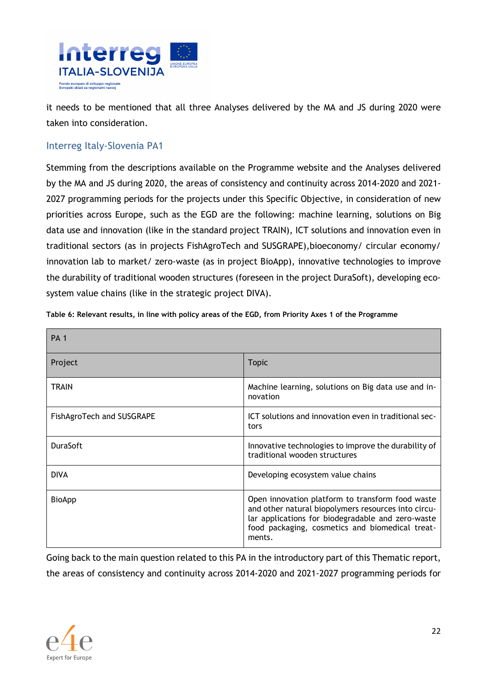

it needs to be mentioned that all three Analyses delivered by the MA and JS during 2020 were taken into consideration.

#### Interreg Italy-Slovenia PA1

Stemming from the descriptions available on the Programme website and the Analyses delivered by the MA and JS during 2020, the areas of consistency and continuity across 2014-2020 and 2021- 2027 programming periods for the projects under this Specific Objective, in consideration of new priorities across Europe, such as the EGD are the following: machine learning, solutions on Big data use and innovation (like in the standard project TRAIN), ICT solutions and innovation even in traditional sectors (as in projects FishAgroTech and SUSGRAPE),bioeconomy/ circular economy/ innovation lab to market/ zero-waste (as in project BioApp), innovative technologies to improve the durability of traditional wooden structures (foreseen in the project DuraSoft), developing ecosystem value chains (like in the strategic project DIVA).

| <b>PA 1</b>               |                                                                                                                                                                                                                           |
|---------------------------|---------------------------------------------------------------------------------------------------------------------------------------------------------------------------------------------------------------------------|
| Project                   | <b>Topic</b>                                                                                                                                                                                                              |
| <b>TRAIN</b>              | Machine learning, solutions on Big data use and in-<br>novation                                                                                                                                                           |
| FishAgroTech and SUSGRAPE | ICT solutions and innovation even in traditional sec-<br>tors                                                                                                                                                             |
| <b>DuraSoft</b>           | Innovative technologies to improve the durability of<br>traditional wooden structures                                                                                                                                     |
| <b>DIVA</b>               | Developing ecosystem value chains                                                                                                                                                                                         |
| <b>BioApp</b>             | Open innovation platform to transform food waste<br>and other natural biopolymers resources into circu-<br>lar applications for biodegradable and zero-waste<br>food packaging, cosmetics and biomedical treat-<br>ments. |

**Table 6: Relevant results, in line with policy areas of the EGD, from Priority Axes 1 of the Programme** 

Going back to the main question related to this PA in the introductory part of this Thematic report, the areas of consistency and continuity across 2014-2020 and 2021-2027 programming periods for

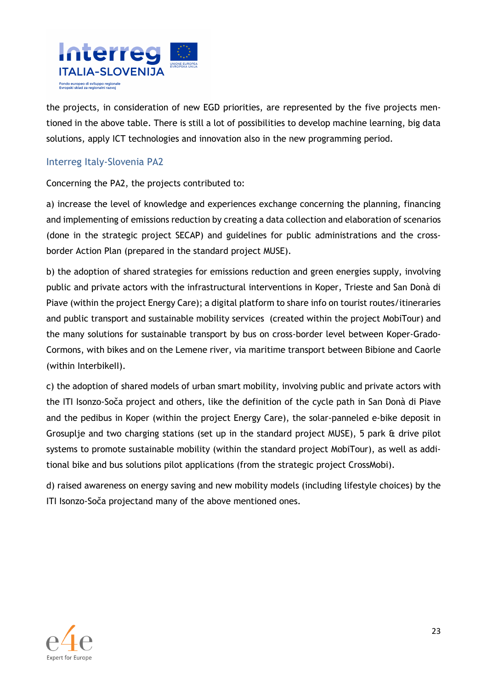

the projects, in consideration of new EGD priorities, are represented by the five projects mentioned in the above table. There is still a lot of possibilities to develop machine learning, big data solutions, apply ICT technologies and innovation also in the new programming period.

#### Interreg Italy-Slovenia PA2

Concerning the PA2, the projects contributed to:

a) increase the level of knowledge and experiences exchange concerning the planning, financing and implementing of emissions reduction by creating a data collection and elaboration of scenarios (done in the strategic project SECAP) and guidelines for public administrations and the crossborder Action Plan (prepared in the standard project MUSE).

b) the adoption of shared strategies for emissions reduction and green energies supply, involving public and private actors with the infrastructural interventions in Koper, Trieste and San Donà di Piave (within the project Energy Care); a digital platform to share info on tourist routes/itineraries and public transport and sustainable mobility services (created within the project MobiTour) and the many solutions for sustainable transport by bus on cross-border level between Koper-Grado-Cormons, with bikes and on the Lemene river, via maritime transport between Bibione and Caorle (within Interbikell).

c) the adoption of shared models of urban smart mobility, involving public and private actors with the ITI Isonzo-Soča project and others, like the definition of the cycle path in San Donà di Piave and the pedibus in Koper (within the project Energy Care), the solar-panneled e-bike deposit in Grosuplje and two charging stations (set up in the standard project MUSE), 5 park & drive pilot systems to promote sustainable mobility (within the standard project MobiTour), as well as additional bike and bus solutions pilot applications (from the strategic project CrossMobi).

d) raised awareness on energy saving and new mobility models (including lifestyle choices) by the ITI Isonzo-Soča projectand many of the above mentioned ones.

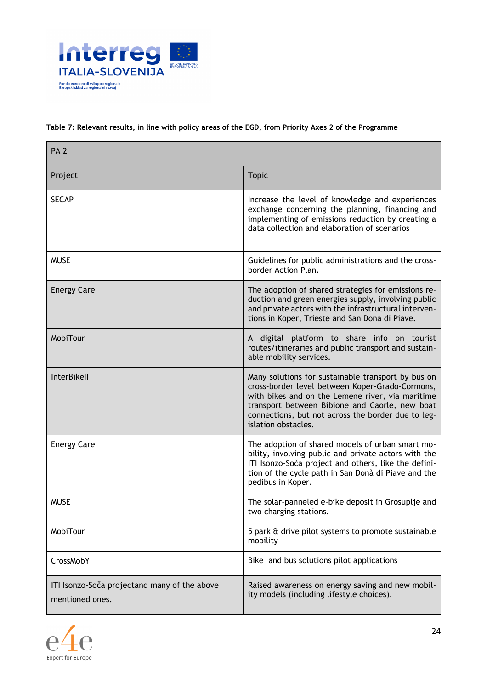

#### **Table 7: Relevant results, in line with policy areas of the EGD, from Priority Axes 2 of the Programme**

| PA <sub>2</sub>                                                 |                                                                                                                                                                                                                                                                                          |  |
|-----------------------------------------------------------------|------------------------------------------------------------------------------------------------------------------------------------------------------------------------------------------------------------------------------------------------------------------------------------------|--|
| Project                                                         | <b>Topic</b>                                                                                                                                                                                                                                                                             |  |
| <b>SECAP</b>                                                    | Increase the level of knowledge and experiences<br>exchange concerning the planning, financing and<br>implementing of emissions reduction by creating a<br>data collection and elaboration of scenarios                                                                                  |  |
| <b>MUSE</b>                                                     | Guidelines for public administrations and the cross-<br>border Action Plan.                                                                                                                                                                                                              |  |
| <b>Energy Care</b>                                              | The adoption of shared strategies for emissions re-<br>duction and green energies supply, involving public<br>and private actors with the infrastructural interven-<br>tions in Koper, Trieste and San Donà di Piave.                                                                    |  |
| MobiTour                                                        | A digital platform to share info on tourist<br>routes/itineraries and public transport and sustain-<br>able mobility services.                                                                                                                                                           |  |
| InterBikell                                                     | Many solutions for sustainable transport by bus on<br>cross-border level between Koper-Grado-Cormons,<br>with bikes and on the Lemene river, via maritime<br>transport between Bibione and Caorle, new boat<br>connections, but not across the border due to leg-<br>islation obstacles. |  |
| <b>Energy Care</b>                                              | The adoption of shared models of urban smart mo-<br>bility, involving public and private actors with the<br>ITI Isonzo-Soča project and others, like the defini-<br>tion of the cycle path in San Donà di Piave and the<br>pedibus in Koper.                                             |  |
| <b>MUSE</b>                                                     | The solar-panneled e-bike deposit in Grosuplje and<br>two charging stations.                                                                                                                                                                                                             |  |
| MobiTour                                                        | 5 park & drive pilot systems to promote sustainable<br>mobility                                                                                                                                                                                                                          |  |
| CrossMobY                                                       | Bike and bus solutions pilot applications                                                                                                                                                                                                                                                |  |
| ITI Isonzo-Soča projectand many of the above<br>mentioned ones. | Raised awareness on energy saving and new mobil-<br>ity models (including lifestyle choices).                                                                                                                                                                                            |  |

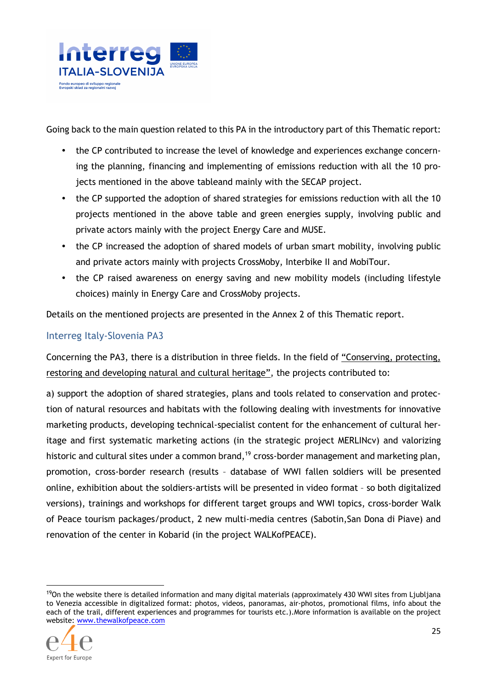

Going back to the main question related to this PA in the introductory part of this Thematic report:

- the CP contributed to increase the level of knowledge and experiences exchange concerning the planning, financing and implementing of emissions reduction with all the 10 projects mentioned in the above tableand mainly with the SECAP project.
- the CP supported the adoption of shared strategies for emissions reduction with all the 10 projects mentioned in the above table and green energies supply, involving public and private actors mainly with the project Energy Care and MUSE.
- the CP increased the adoption of shared models of urban smart mobility, involving public and private actors mainly with projects CrossMoby, Interbike II and MobiTour.
- the CP raised awareness on energy saving and new mobility models (including lifestyle choices) mainly in Energy Care and CrossMoby projects.

Details on the mentioned projects are presented in the Annex 2 of this Thematic report.

#### Interreg Italy-Slovenia PA3

Concerning the PA3, there is a distribution in three fields. In the field of "Conserving, protecting, restoring and developing natural and cultural heritage", the projects contributed to:

a) support the adoption of shared strategies, plans and tools related to conservation and protection of natural resources and habitats with the following dealing with investments for innovative marketing products, developing technical-specialist content for the enhancement of cultural heritage and first systematic marketing actions (in the strategic project MERLINcv) and valorizing historic and cultural sites under a common brand,<sup>19</sup> cross-border management and marketing plan, promotion, cross-border research (results – database of WWI fallen soldiers will be presented online, exhibition about the soldiers-artists will be presented in video format – so both digitalized versions), trainings and workshops for different target groups and WWI topics, cross-border Walk of Peace tourism packages/product, 2 new multi-media centres (Sabotin,San Dona di Piave) and renovation of the center in Kobarid (in the project WALKofPEACE).

 $19$ On the website there is detailed information and many digital materials (approximately 430 WWI sites from Ljubljana to Venezia accessible in digitalized format: photos, videos, panoramas, air-photos, promotional films, info about the each of the trail, different experiences and programmes for tourists etc.).More information is available on the project website: www.thewalkofpeace.com

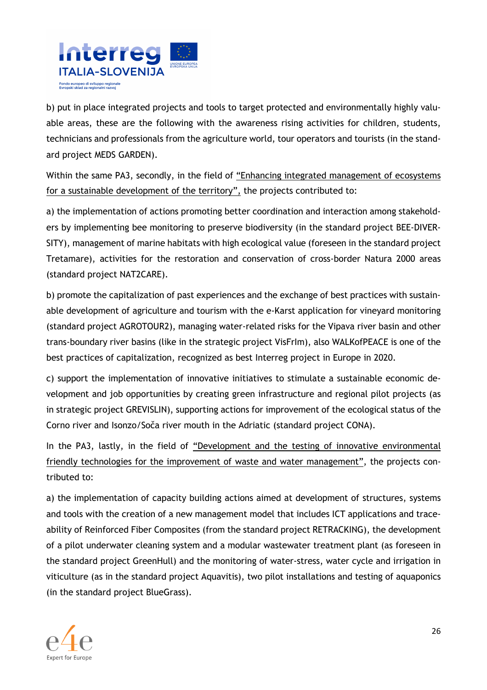

b) put in place integrated projects and tools to target protected and environmentally highly valuable areas, these are the following with the awareness rising activities for children, students, technicians and professionals from the agriculture world, tour operators and tourists (in the standard project MEDS GARDEN).

Within the same PA3, secondly, in the field of "Enhancing integrated management of ecosystems for a sustainable development of the territory", the projects contributed to:

a) the implementation of actions promoting better coordination and interaction among stakeholders by implementing bee monitoring to preserve biodiversity (in the standard project BEE-DIVER-SITY), management of marine habitats with high ecological value (foreseen in the standard project Tretamare), activities for the restoration and conservation of cross-border Natura 2000 areas (standard project NAT2CARE).

b) promote the capitalization of past experiences and the exchange of best practices with sustainable development of agriculture and tourism with the e-Karst application for vineyard monitoring (standard project AGROTOUR2), managing water-related risks for the Vipava river basin and other trans-boundary river basins (like in the strategic project VisFrIm), also WALKofPEACE is one of the best practices of capitalization, recognized as best Interreg project in Europe in 2020.

c) support the implementation of innovative initiatives to stimulate a sustainable economic development and job opportunities by creating green infrastructure and regional pilot projects (as in strategic project GREVISLIN), supporting actions for improvement of the ecological status of the Corno river and Isonzo/Soča river mouth in the Adriatic (standard project CONA).

In the PA3, lastly, in the field of "Development and the testing of innovative environmental friendly technologies for the improvement of waste and water management", the projects contributed to:

a) the implementation of capacity building actions aimed at development of structures, systems and tools with the creation of a new management model that includes ICT applications and traceability of Reinforced Fiber Composites (from the standard project RETRACKING), the development of a pilot underwater cleaning system and a modular wastewater treatment plant (as foreseen in the standard project GreenHull) and the monitoring of water-stress, water cycle and irrigation in viticulture (as in the standard project Aquavitis), two pilot installations and testing of aquaponics (in the standard project BlueGrass).

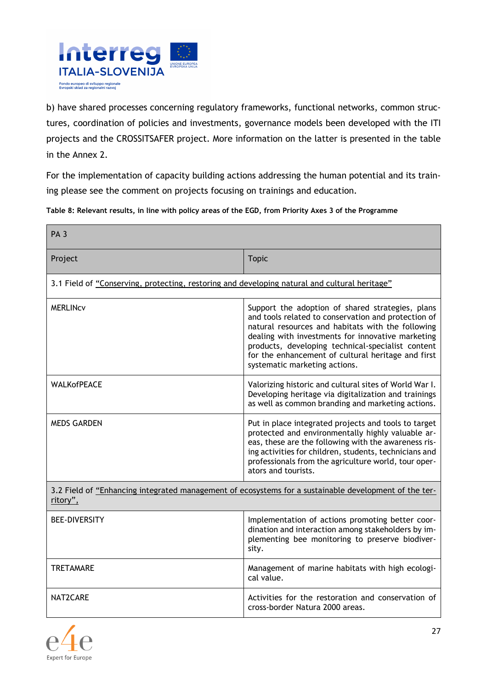

b) have shared processes concerning regulatory frameworks, functional networks, common structures, coordination of policies and investments, governance models been developed with the ITI projects and the CROSSITSAFER project. More information on the latter is presented in the table in the Annex 2.

For the implementation of capacity building actions addressing the human potential and its training please see the comment on projects focusing on trainings and education.

**Table 8: Relevant results, in line with policy areas of the EGD, from Priority Axes 3 of the Programme** 

| PA <sub>3</sub>                                                                                                   |                                                                                                                                                                                                                                                                                                                                                               |  |
|-------------------------------------------------------------------------------------------------------------------|---------------------------------------------------------------------------------------------------------------------------------------------------------------------------------------------------------------------------------------------------------------------------------------------------------------------------------------------------------------|--|
| Project                                                                                                           | <b>Topic</b>                                                                                                                                                                                                                                                                                                                                                  |  |
| 3.1 Field of "Conserving, protecting, restoring and developing natural and cultural heritage"                     |                                                                                                                                                                                                                                                                                                                                                               |  |
| <b>MERLINCV</b>                                                                                                   | Support the adoption of shared strategies, plans<br>and tools related to conservation and protection of<br>natural resources and habitats with the following<br>dealing with investments for innovative marketing<br>products, developing technical-specialist content<br>for the enhancement of cultural heritage and first<br>systematic marketing actions. |  |
| <b>WALKofPEACE</b>                                                                                                | Valorizing historic and cultural sites of World War I.<br>Developing heritage via digitalization and trainings<br>as well as common branding and marketing actions.                                                                                                                                                                                           |  |
| <b>MEDS GARDEN</b>                                                                                                | Put in place integrated projects and tools to target<br>protected and environmentally highly valuable ar-<br>eas, these are the following with the awareness ris-<br>ing activities for children, students, technicians and<br>professionals from the agriculture world, tour oper-<br>ators and tourists.                                                    |  |
| 3.2 Field of "Enhancing integrated management of ecosystems for a sustainable development of the ter-<br>ritory", |                                                                                                                                                                                                                                                                                                                                                               |  |
| <b>BEE-DIVERSITY</b>                                                                                              | Implementation of actions promoting better coor-<br>dination and interaction among stakeholders by im-<br>plementing bee monitoring to preserve biodiver-<br>sity.                                                                                                                                                                                            |  |
| <b>TRETAMARE</b>                                                                                                  | Management of marine habitats with high ecologi-<br>cal value.                                                                                                                                                                                                                                                                                                |  |
| NAT2CARE                                                                                                          | Activities for the restoration and conservation of<br>cross-border Natura 2000 areas.                                                                                                                                                                                                                                                                         |  |

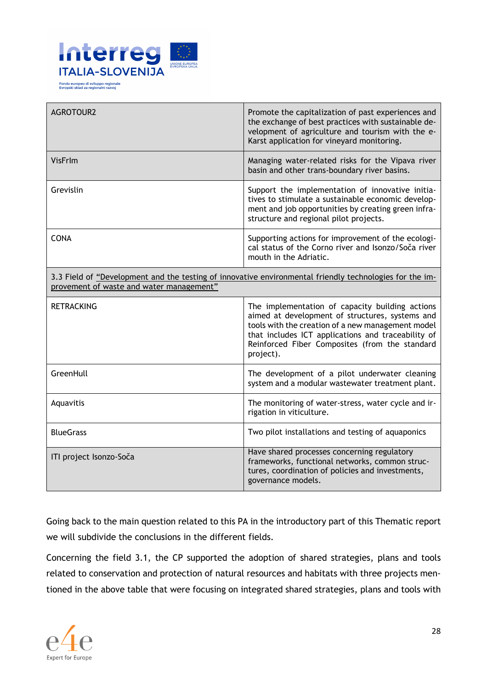

| <b>AGROTOUR2</b>                                                                                                                                    | Promote the capitalization of past experiences and<br>the exchange of best practices with sustainable de-<br>velopment of agriculture and tourism with the e-<br>Karst application for vineyard monitoring.                                                                  |
|-----------------------------------------------------------------------------------------------------------------------------------------------------|------------------------------------------------------------------------------------------------------------------------------------------------------------------------------------------------------------------------------------------------------------------------------|
| VisFrlm                                                                                                                                             | Managing water-related risks for the Vipava river<br>basin and other trans-boundary river basins.                                                                                                                                                                            |
| Grevislin                                                                                                                                           | Support the implementation of innovative initia-<br>tives to stimulate a sustainable economic develop-<br>ment and job opportunities by creating green infra-<br>structure and regional pilot projects.                                                                      |
| <b>CONA</b>                                                                                                                                         | Supporting actions for improvement of the ecologi-<br>cal status of the Corno river and Isonzo/Soča river<br>mouth in the Adriatic.                                                                                                                                          |
| 3.3 Field of "Development and the testing of innovative environmental friendly technologies for the im-<br>provement of waste and water management" |                                                                                                                                                                                                                                                                              |
| <b>RETRACKING</b>                                                                                                                                   | The implementation of capacity building actions<br>aimed at development of structures, systems and<br>tools with the creation of a new management model<br>that includes ICT applications and traceability of<br>Reinforced Fiber Composites (from the standard<br>project). |
| GreenHull                                                                                                                                           | The development of a pilot underwater cleaning<br>system and a modular wastewater treatment plant.                                                                                                                                                                           |
| Aquavitis                                                                                                                                           | The monitoring of water-stress, water cycle and ir-<br>rigation in viticulture.                                                                                                                                                                                              |
| <b>BlueGrass</b>                                                                                                                                    | Two pilot installations and testing of aquaponics                                                                                                                                                                                                                            |
| ITI project Isonzo-Soča                                                                                                                             | Have shared processes concerning regulatory<br>frameworks, functional networks, common struc-<br>tures, coordination of policies and investments,                                                                                                                            |

Going back to the main question related to this PA in the introductory part of this Thematic report we will subdivide the conclusions in the different fields.

Concerning the field 3.1, the CP supported the adoption of shared strategies, plans and tools related to conservation and protection of natural resources and habitats with three projects mentioned in the above table that were focusing on integrated shared strategies, plans and tools with

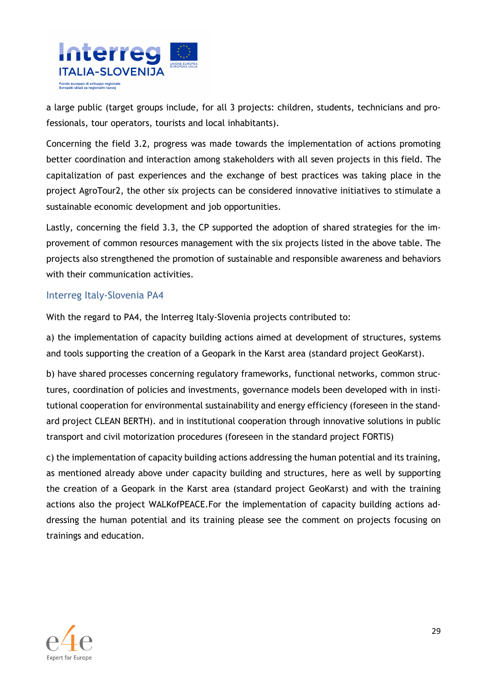

a large public (target groups include, for all 3 projects: children, students, technicians and professionals, tour operators, tourists and local inhabitants).

Concerning the field 3.2, progress was made towards the implementation of actions promoting better coordination and interaction among stakeholders with all seven projects in this field. The capitalization of past experiences and the exchange of best practices was taking place in the project AgroTour2, the other six projects can be considered innovative initiatives to stimulate a sustainable economic development and job opportunities.

Lastly, concerning the field 3.3, the CP supported the adoption of shared strategies for the improvement of common resources management with the six projects listed in the above table. The projects also strengthened the promotion of sustainable and responsible awareness and behaviors with their communication activities.

#### Interreg Italy-Slovenia PA4

With the regard to PA4, the Interreg Italy-Slovenia projects contributed to:

a) the implementation of capacity building actions aimed at development of structures, systems and tools supporting the creation of a Geopark in the Karst area (standard project GeoKarst).

b) have shared processes concerning regulatory frameworks, functional networks, common structures, coordination of policies and investments, governance models been developed with in institutional cooperation for environmental sustainability and energy efficiency (foreseen in the standard project CLEAN BERTH). and in institutional cooperation through innovative solutions in public transport and civil motorization procedures (foreseen in the standard project FORTIS)

c) the implementation of capacity building actions addressing the human potential and its training, as mentioned already above under capacity building and structures, here as well by supporting the creation of a Geopark in the Karst area (standard project GeoKarst) and with the training actions also the project WALKofPEACE.For the implementation of capacity building actions addressing the human potential and its training please see the comment on projects focusing on trainings and education.

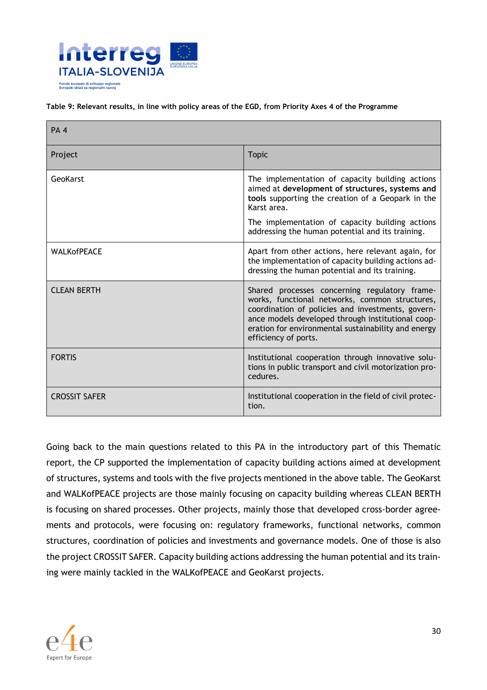

#### **Table 9: Relevant results, in line with policy areas of the EGD, from Priority Axes 4 of the Programme**

| PA <sub>4</sub>      |                                                                                                                                                                                                                                                                                          |
|----------------------|------------------------------------------------------------------------------------------------------------------------------------------------------------------------------------------------------------------------------------------------------------------------------------------|
| Project              | <b>Topic</b>                                                                                                                                                                                                                                                                             |
| GeoKarst             | The implementation of capacity building actions<br>aimed at development of structures, systems and<br>tools supporting the creation of a Geopark in the<br>Karst area.<br>The implementation of capacity building actions<br>addressing the human potential and its training.            |
| <b>WALKofPEACE</b>   | Apart from other actions, here relevant again, for<br>the implementation of capacity building actions ad-<br>dressing the human potential and its training.                                                                                                                              |
| <b>CLEAN BERTH</b>   | Shared processes concerning regulatory frame-<br>works, functional networks, common structures,<br>coordination of policies and investments, govern-<br>ance models developed through institutional coop-<br>eration for environmental sustainability and energy<br>efficiency of ports. |
| <b>FORTIS</b>        | Institutional cooperation through innovative solu-<br>tions in public transport and civil motorization pro-<br>cedures.                                                                                                                                                                  |
| <b>CROSSIT SAFER</b> | Institutional cooperation in the field of civil protec-<br>tion.                                                                                                                                                                                                                         |

Going back to the main questions related to this PA in the introductory part of this Thematic report, the CP supported the implementation of capacity building actions aimed at development of structures, systems and tools with the five projects mentioned in the above table. The GeoKarst and WALKofPEACE projects are those mainly focusing on capacity building whereas CLEAN BERTH is focusing on shared processes. Other projects, mainly those that developed cross-border agreements and protocols, were focusing on: regulatory frameworks, functional networks, common structures, coordination of policies and investments and governance models. One of those is also the project CROSSIT SAFER. Capacity building actions addressing the human potential and its training were mainly tackled in the WALKofPEACE and GeoKarst projects.

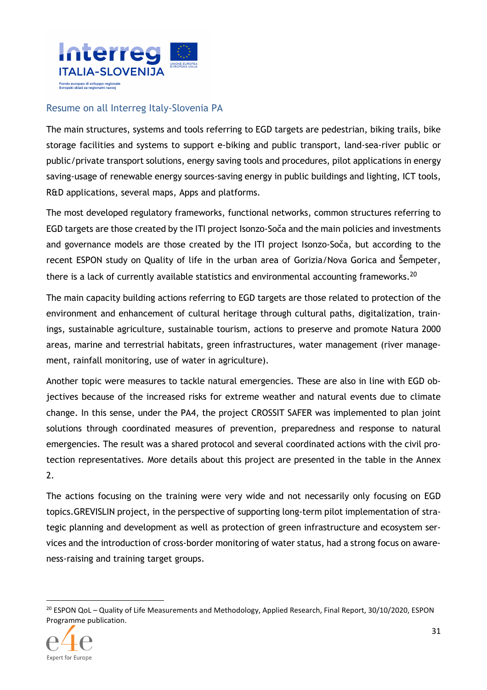

#### Resume on all Interreg Italy-Slovenia PA

The main structures, systems and tools referring to EGD targets are pedestrian, biking trails, bike storage facilities and systems to support e-biking and public transport, land-sea-river public or public/private transport solutions, energy saving tools and procedures, pilot applications in energy saving-usage of renewable energy sources-saving energy in public buildings and lighting, ICT tools, R&D applications, several maps, Apps and platforms.

The most developed regulatory frameworks, functional networks, common structures referring to EGD targets are those created by the ITI project Isonzo-Soča and the main policies and investments and governance models are those created by the ITI project Isonzo-Soča, but according to the recent ESPON study on Quality of life in the urban area of Gorizia/Nova Gorica and Šempeter, there is a lack of currently available statistics and environmental accounting frameworks.<sup>20</sup>

The main capacity building actions referring to EGD targets are those related to protection of the environment and enhancement of cultural heritage through cultural paths, digitalization, trainings, sustainable agriculture, sustainable tourism, actions to preserve and promote Natura 2000 areas, marine and terrestrial habitats, green infrastructures, water management (river management, rainfall monitoring, use of water in agriculture).

Another topic were measures to tackle natural emergencies. These are also in line with EGD objectives because of the increased risks for extreme weather and natural events due to climate change. In this sense, under the PA4, the project CROSSIT SAFER was implemented to plan joint solutions through coordinated measures of prevention, preparedness and response to natural emergencies. The result was a shared protocol and several coordinated actions with the civil protection representatives. More details about this project are presented in the table in the Annex 2.

The actions focusing on the training were very wide and not necessarily only focusing on EGD topics.GREVISLIN project, in the perspective of supporting long-term pilot implementation of strategic planning and development as well as protection of green infrastructure and ecosystem services and the introduction of cross-border monitoring of water status, had a strong focus on awareness-raising and training target groups.

<sup>&</sup>lt;sup>20</sup> ESPON QoL – Quality of Life Measurements and Methodology, Applied Research, Final Report, 30/10/2020, ESPON Programme publication.



 $\overline{a}$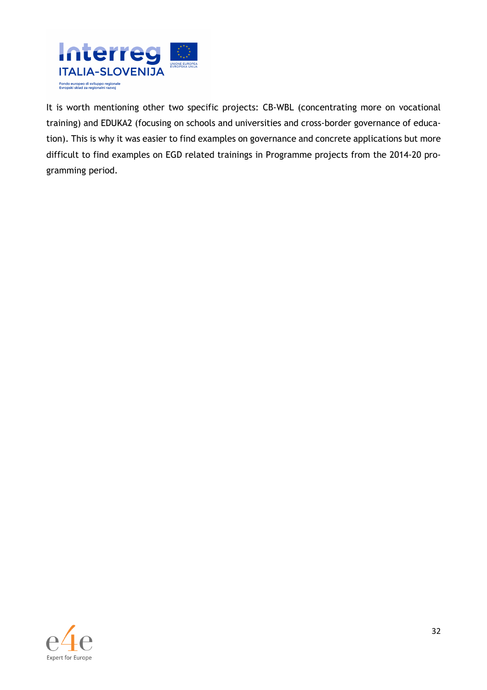

It is worth mentioning other two specific projects: CB-WBL (concentrating more on vocational training) and EDUKA2 (focusing on schools and universities and cross-border governance of education). This is why it was easier to find examples on governance and concrete applications but more difficult to find examples on EGD related trainings in Programme projects from the 2014-20 programming period.

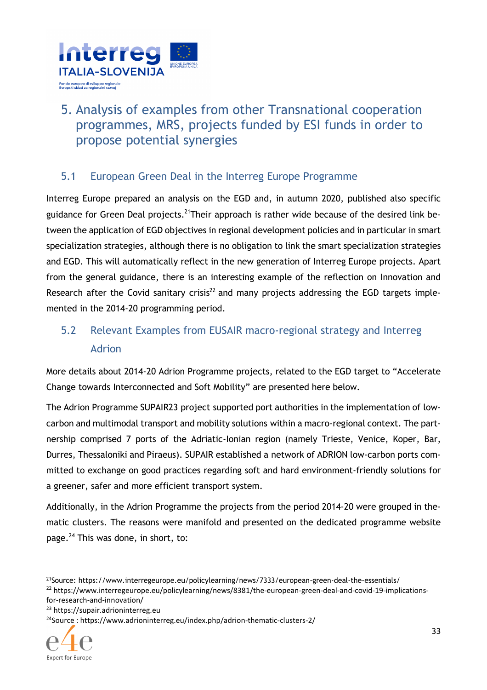

# 5. Analysis of examples from other Transnational cooperation programmes, MRS, projects funded by ESI funds in order to propose potential synergies

## 5.1 European Green Deal in the Interreg Europe Programme

Interreg Europe prepared an analysis on the EGD and, in autumn 2020, published also specific guidance for Green Deal projects.<sup>21</sup>Their approach is rather wide because of the desired link between the application of EGD objectives in regional development policies and in particular in smart specialization strategies, although there is no obligation to link the smart specialization strategies and EGD. This will automatically reflect in the new generation of Interreg Europe projects. Apart from the general guidance, there is an interesting example of the reflection on Innovation and Research after the Covid sanitary crisis<sup>22</sup> and many projects addressing the EGD targets implemented in the 2014-20 programming period.

# 5.2 Relevant Examples from EUSAIR macro-regional strategy and Interreg Adrion

More details about 2014-20 Adrion Programme projects, related to the EGD target to "Accelerate Change towards Interconnected and Soft Mobility" are presented here below.

The Adrion Programme SUPAIR23 project supported port authorities in the implementation of lowcarbon and multimodal transport and mobility solutions within a macro-regional context. The partnership comprised 7 ports of the Adriatic-Ionian region (namely Trieste, Venice, Koper, Bar, Durres, Thessaloniki and Piraeus). SUPAIR established a network of ADRION low-carbon ports committed to exchange on good practices regarding soft and hard environment-friendly solutions for a greener, safer and more efficient transport system.

Additionally, in the Adrion Programme the projects from the period 2014-20 were grouped in thematic clusters. The reasons were manifold and presented on the dedicated programme website page.<sup>24</sup> This was done, in short, to:

<sup>24</sup>Source : https://www.adrioninterreg.eu/index.php/adrion-thematic-clusters-2/



 $\overline{a}$ 

<sup>&</sup>lt;sup>21</sup>Source: https://www.interregeurope.eu/policylearning/news/7333/european-green-deal-the-essentials/ <sup>22</sup> https://www.interregeurope.eu/policylearning/news/8381/the-european-green-deal-and-covid-19-implicationsfor-research-and-innovation/

<sup>23</sup> https://supair.adrioninterreg.eu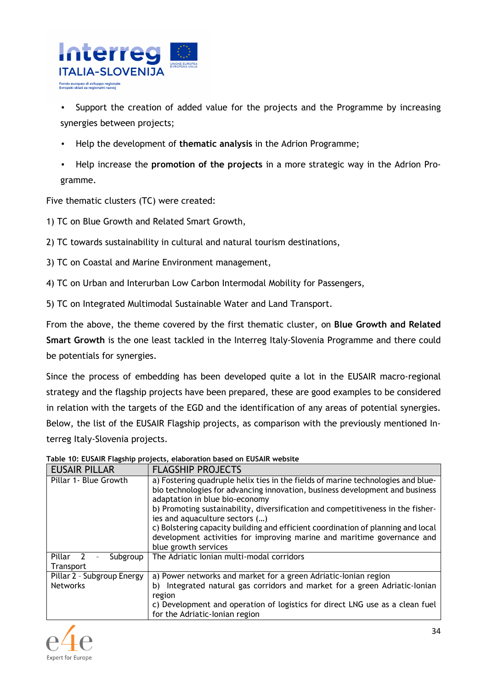

Support the creation of added value for the projects and the Programme by increasing synergies between projects;

- Help the development of **thematic analysis** in the Adrion Programme;
- Help increase the **promotion of the projects** in a more strategic way in the Adrion Programme.

Five thematic clusters (TC) were created:

1) TC on Blue Growth and Related Smart Growth,

2) TC towards sustainability in cultural and natural tourism destinations,

3) TC on Coastal and Marine Environment management,

4) TC on Urban and Interurban Low Carbon Intermodal Mobility for Passengers,

5) TC on Integrated Multimodal Sustainable Water and Land Transport.

From the above, the theme covered by the first thematic cluster, on **Blue Growth and Related Smart Growth** is the one least tackled in the Interreg Italy-Slovenia Programme and there could be potentials for synergies.

Since the process of embedding has been developed quite a lot in the EUSAIR macro-regional strategy and the flagship projects have been prepared, these are good examples to be considered in relation with the targets of the EGD and the identification of any areas of potential synergies. Below, the list of the EUSAIR Flagship projects, as comparison with the previously mentioned Interreg Italy-Slovenia projects.

| <b>EUSAIR PILLAR</b>                          | <b>FLAGSHIP PROJECTS</b>                                                                                                                                                                                                                                                                                                                                                                                                                                                                                       |
|-----------------------------------------------|----------------------------------------------------------------------------------------------------------------------------------------------------------------------------------------------------------------------------------------------------------------------------------------------------------------------------------------------------------------------------------------------------------------------------------------------------------------------------------------------------------------|
| Pillar 1- Blue Growth                         | a) Fostering quadruple helix ties in the fields of marine technologies and blue-<br>bio technologies for advancing innovation, business development and business<br>adaptation in blue bio-economy<br>b) Promoting sustainability, diversification and competitiveness in the fisher-<br>ies and aquaculture sectors ()<br>c) Bolstering capacity building and efficient coordination of planning and local<br>development activities for improving marine and maritime governance and<br>blue growth services |
| Pillar<br>Subgroup<br>Transport               | The Adriatic Ionian multi-modal corridors                                                                                                                                                                                                                                                                                                                                                                                                                                                                      |
| Pillar 2 - Subgroup Energy<br><b>Networks</b> | a) Power networks and market for a green Adriatic-lonian region<br>Integrated natural gas corridors and market for a green Adriatic-Ionian<br>b)<br>region<br>c) Development and operation of logistics for direct LNG use as a clean fuel<br>for the Adriatic-Ionian region                                                                                                                                                                                                                                   |

**Table 10: EUSAIR Flagship projects, elaboration based on EUSAIR website** 

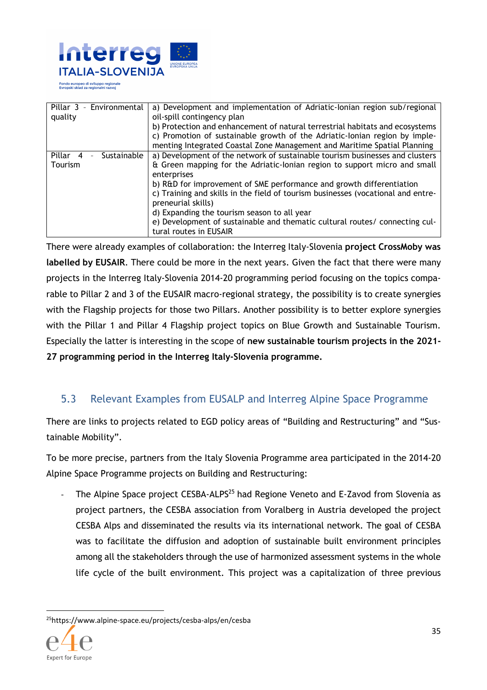

Pillar 3 – Environmental quality a) Development and implementation of Adriatic-Ionian region sub/regional oil-spill contingency plan b) Protection and enhancement of natural terrestrial habitats and ecosystems c) Promotion of sustainable growth of the Adriatic-Ionian region by implementing Integrated Coastal Zone Management and Maritime Spatial Planning Pillar 4 – Sustainable Tourism a) Development of the network of sustainable tourism businesses and clusters & Green mapping for the Adriatic-Ionian region to support micro and small enterprises b) R&D for improvement of SME performance and growth differentiation c) Training and skills in the field of tourism businesses (vocational and entrepreneurial skills) d) Expanding the tourism season to all year e) Development of sustainable and thematic cultural routes/ connecting cultural routes in EUSAIR

There were already examples of collaboration: the Interreg Italy-Slovenia **project CrossMoby was labelled by EUSAIR**. There could be more in the next years. Given the fact that there were many projects in the Interreg Italy-Slovenia 2014-20 programming period focusing on the topics comparable to Pillar 2 and 3 of the EUSAIR macro-regional strategy, the possibility is to create synergies with the Flagship projects for those two Pillars. Another possibility is to better explore synergies with the Pillar 1 and Pillar 4 Flagship project topics on Blue Growth and Sustainable Tourism. Especially the latter is interesting in the scope of **new sustainable tourism projects in the 2021- 27 programming period in the Interreg Italy-Slovenia programme.** 

## 5.3 Relevant Examples from EUSALP and Interreg Alpine Space Programme

There are links to projects related to EGD policy areas of "Building and Restructuring" and "Sustainable Mobility".

To be more precise, partners from the Italy Slovenia Programme area participated in the 2014-20 Alpine Space Programme projects on Building and Restructuring:

The Alpine Space project CESBA-ALPS<sup>25</sup> had Regione Veneto and E-Zavod from Slovenia as project partners, the CESBA association from Voralberg in Austria developed the project CESBA Alps and disseminated the results via its international network. The goal of CESBA was to facilitate the diffusion and adoption of sustainable built environment principles among all the stakeholders through the use of harmonized assessment systems in the whole life cycle of the built environment. This project was a capitalization of three previous

25https://www.alpine-space.eu/projects/cesba-alps/en/cesba

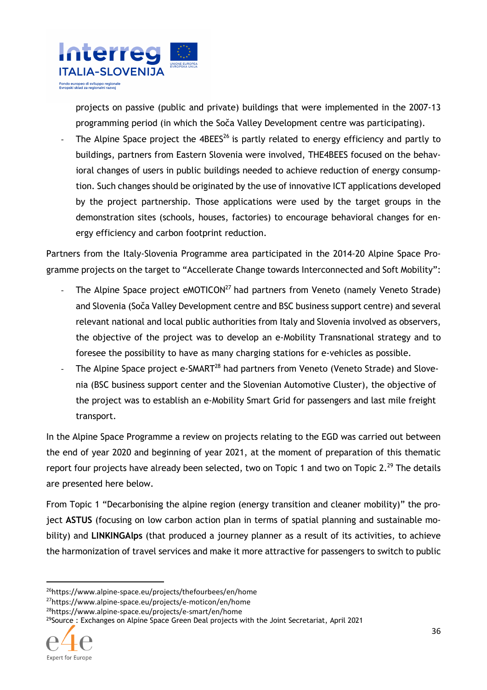

projects on passive (public and private) buildings that were implemented in the 2007-13 programming period (in which the Soča Valley Development centre was participating).

The Alpine Space project the  $4BEES<sup>26</sup>$  is partly related to energy efficiency and partly to buildings, partners from Eastern Slovenia were involved, THE4BEES focused on the behavioral changes of users in public buildings needed to achieve reduction of energy consumption. Such changes should be originated by the use of innovative ICT applications developed by the project partnership. Those applications were used by the target groups in the demonstration sites (schools, houses, factories) to encourage behavioral changes for energy efficiency and carbon footprint reduction.

Partners from the Italy-Slovenia Programme area participated in the 2014-20 Alpine Space Programme projects on the target to "Accellerate Change towards Interconnected and Soft Mobility":

- The Alpine Space project eMOTICON<sup>27</sup> had partners from Veneto (namely Veneto Strade) and Slovenia (Soča Valley Development centre and BSC business support centre) and several relevant national and local public authorities from Italy and Slovenia involved as observers, the objective of the project was to develop an e-Mobility Transnational strategy and to foresee the possibility to have as many charging stations for e-vehicles as possible.
- The Alpine Space project e-SMART<sup>28</sup> had partners from Veneto (Veneto Strade) and Slovenia (BSC business support center and the Slovenian Automotive Cluster), the objective of the project was to establish an e-Mobility Smart Grid for passengers and last mile freight transport.

In the Alpine Space Programme a review on projects relating to the EGD was carried out between the end of year 2020 and beginning of year 2021, at the moment of preparation of this thematic report four projects have already been selected, two on Topic 1 and two on Topic 2.<sup>29</sup> The details are presented here below.

From Topic 1 "Decarbonising the alpine region (energy transition and cleaner mobility)" the project **ASTUS** (focusing on low carbon action plan in terms of spatial planning and sustainable mobility) and **LINKINGAlps** (that produced a journey planner as a result of its activities, to achieve the harmonization of travel services and make it more attractive for passengers to switch to public

 $29$ Source : Exchanges on Alpine Space Green Deal projects with the Joint Secretariat, April 2021



<sup>26</sup>https://www.alpine-space.eu/projects/thefourbees/en/home

<sup>27</sup>https://www.alpine-space.eu/projects/e-moticon/en/home

<sup>28</sup>https://www.alpine-space.eu/projects/e-smart/en/home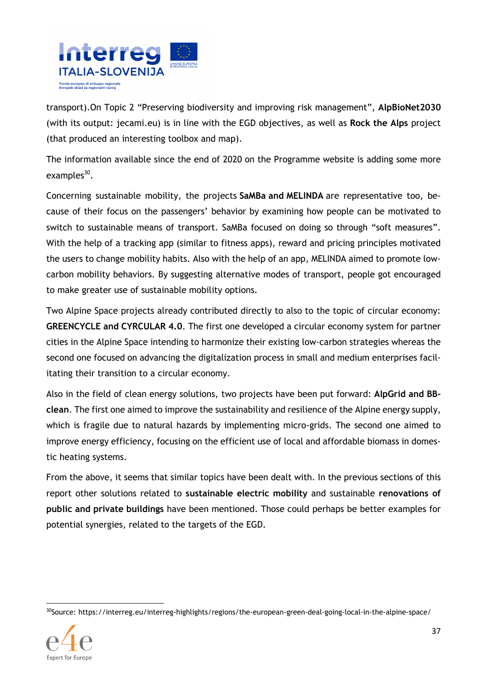

transport).On Topic 2 "Preserving biodiversity and improving risk management", **AlpBioNet2030** (with its output: jecami.eu) is in line with the EGD objectives, as well as **Rock the Alps** project (that produced an interesting toolbox and map).

The information available since the end of 2020 on the Programme website is adding some more examples<sup>30</sup>.

Concerning sustainable mobility, the projects **SaMBa and MELINDA** are representative too, because of their focus on the passengers' behavior by examining how people can be motivated to switch to sustainable means of transport. SaMBa focused on doing so through "soft measures". With the help of a tracking app (similar to fitness apps), reward and pricing principles motivated the users to change mobility habits. Also with the help of an app, MELINDA aimed to promote lowcarbon mobility behaviors. By suggesting alternative modes of transport, people got encouraged to make greater use of sustainable mobility options.

Two Alpine Space projects already contributed directly to also to the topic of circular economy: **GREENCYCLE and CYRCULAR 4.0**. The first one developed a circular economy system for partner cities in the Alpine Space intending to harmonize their existing low-carbon strategies whereas the second one focused on advancing the digitalization process in small and medium enterprises facilitating their transition to a circular economy.

Also in the field of clean energy solutions, two projects have been put forward: **AlpGrid and BBclean**. The first one aimed to improve the sustainability and resilience of the Alpine energy supply, which is fragile due to natural hazards by implementing micro-grids. The second one aimed to improve energy efficiency, focusing on the efficient use of local and affordable biomass in domestic heating systems.

From the above, it seems that similar topics have been dealt with. In the previous sections of this report other solutions related to **sustainable electric mobility** and sustainable **renovations of public and private buildings** have been mentioned. Those could perhaps be better examples for potential synergies, related to the targets of the EGD.

<sup>30</sup>Source: https://interreg.eu/interreg-highlights/regions/the-european-green-deal-going-local-in-the-alpine-space/

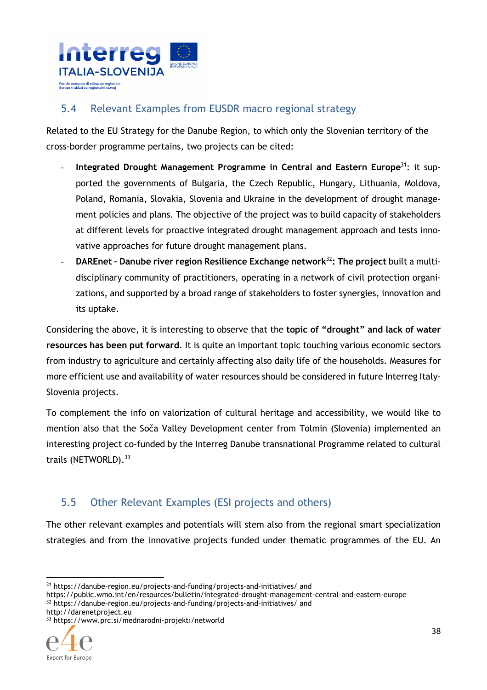

### 5.4 Relevant Examples from EUSDR macro regional strategy

Related to the EU Strategy for the Danube Region, to which only the Slovenian territory of the cross-border programme pertains, two projects can be cited:

- **Integrated Drought Management Programme in Central and Eastern Europe**<sup>31</sup>: it supported the governments of Bulgaria, the Czech Republic, Hungary, Lithuania, Moldova, Poland, Romania, Slovakia, Slovenia and Ukraine in the development of drought management policies and plans. The objective of the project was to build capacity of stakeholders at different levels for proactive integrated drought management approach and tests innovative approaches for future drought management plans.
- **DAREnet Danube river region Resilience Exchange network**<sup>32</sup>**: The project** built a multidisciplinary community of practitioners, operating in a network of civil protection organizations, and supported by a broad range of stakeholders to foster synergies, innovation and its uptake.

Considering the above, it is interesting to observe that the **topic of "drought" and lack of water resources has been put forward**. It is quite an important topic touching various economic sectors from industry to agriculture and certainly affecting also daily life of the households. Measures for more efficient use and availability of water resources should be considered in future Interreg Italy-Slovenia projects.

To complement the info on valorization of cultural heritage and accessibility, we would like to mention also that the Soča Valley Development center from Tolmin (Slovenia) implemented an interesting project co-funded by the Interreg Danube transnational Programme related to cultural trails (NETWORLD).<sup>33</sup>

## 5.5 Other Relevant Examples (ESI projects and others)

The other relevant examples and potentials will stem also from the regional smart specialization strategies and from the innovative projects funded under thematic programmes of the EU. An

https://public.wmo.int/en/resources/bulletin/integrated-drought-management-central-and-eastern-europe <sup>32</sup> https://danube-region.eu/projects-and-funding/projects-and-initiatives/ and http://darenetproject.eu

<sup>33</sup> https://www.prc.si/mednarodni-projekti/networld



<sup>31</sup> https://danube-region.eu/projects-and-funding/projects-and-initiatives/ and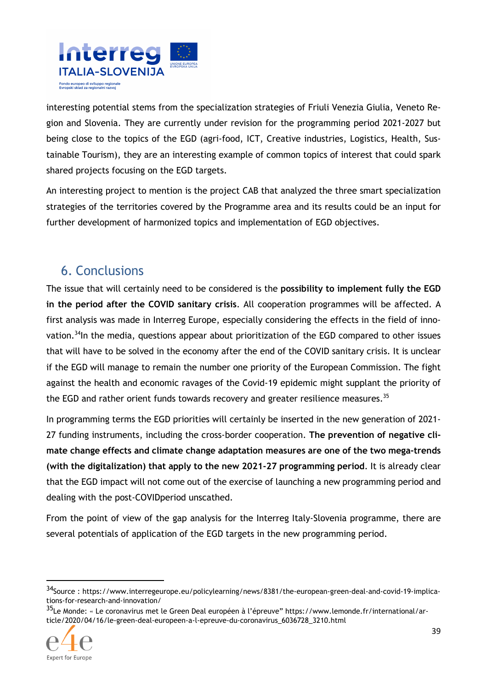

interesting potential stems from the specialization strategies of Friuli Venezia Giulia, Veneto Region and Slovenia. They are currently under revision for the programming period 2021-2027 but being close to the topics of the EGD (agri-food, ICT, Creative industries, Logistics, Health, Sustainable Tourism), they are an interesting example of common topics of interest that could spark shared projects focusing on the EGD targets.

An interesting project to mention is the project CAB that analyzed the three smart specialization strategies of the territories covered by the Programme area and its results could be an input for further development of harmonized topics and implementation of EGD objectives.

# 6. Conclusions

The issue that will certainly need to be considered is the **possibility to implement fully the EGD in the period after the COVID sanitary crisis**. All cooperation programmes will be affected. A first analysis was made in Interreg Europe, especially considering the effects in the field of innovation.<sup>34</sup>In the media, questions appear about prioritization of the EGD compared to other issues that will have to be solved in the economy after the end of the COVID sanitary crisis. It is unclear if the EGD will manage to remain the number one priority of the European Commission. The fight against the health and economic ravages of the Covid-19 epidemic might supplant the priority of the EGD and rather orient funds towards recovery and greater resilience measures.<sup>35</sup>

In programming terms the EGD priorities will certainly be inserted in the new generation of 2021- 27 funding instruments, including the cross-border cooperation. **The prevention of negative climate change effects and climate change adaptation measures are one of the two mega-trends (with the digitalization) that apply to the new 2021-27 programming period**. It is already clear that the EGD impact will not come out of the exercise of launching a new programming period and dealing with the post-COVIDperiod unscathed.

From the point of view of the gap analysis for the Interreg Italy-Slovenia programme, there are several potentials of application of the EGD targets in the new programming period.

<sup>&</sup>lt;sup>35</sup>Le Monde: « Le coronavirus met le Green Deal européen à l'épreuve" https://www.lemonde.fr/international/article/2020/04/16/le-green-deal-europeen-a-l-epreuve-du-coronavirus\_6036728\_3210.html



 $\overline{a}$ 

<sup>34</sup>Source : https://www.interregeurope.eu/policylearning/news/8381/the-european-green-deal-and-covid-19-implications-for-research-and-innovation/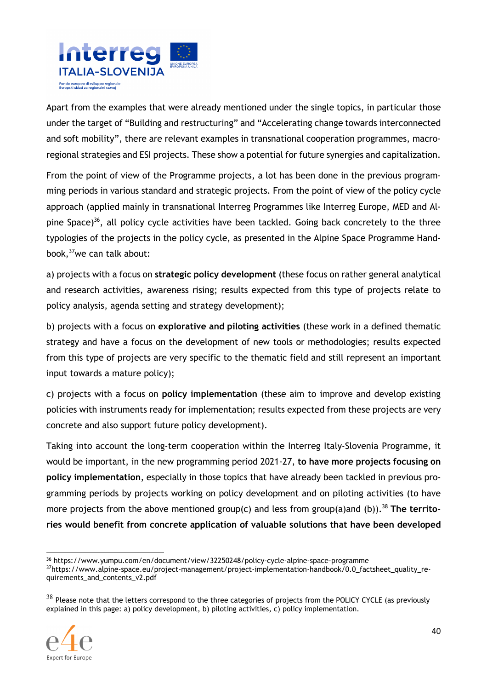

Apart from the examples that were already mentioned under the single topics, in particular those under the target of "Building and restructuring" and "Accelerating change towards interconnected and soft mobility", there are relevant examples in transnational cooperation programmes, macroregional strategies and ESI projects. These show a potential for future synergies and capitalization.

From the point of view of the Programme projects, a lot has been done in the previous programming periods in various standard and strategic projects. From the point of view of the policy cycle approach (applied mainly in transnational Interreg Programmes like Interreg Europe, MED and Alpine Space)<sup>36</sup>, all policy cycle activities have been tackled. Going back concretely to the three typologies of the projects in the policy cycle, as presented in the Alpine Space Programme Handbook,<sup>37</sup>we can talk about:

a) projects with a focus on **strategic policy development** (these focus on rather general analytical and research activities, awareness rising; results expected from this type of projects relate to policy analysis, agenda setting and strategy development);

b) projects with a focus on **explorative and piloting activities** (these work in a defined thematic strategy and have a focus on the development of new tools or methodologies; results expected from this type of projects are very specific to the thematic field and still represent an important input towards a mature policy);

c) projects with a focus on **policy implementation** (these aim to improve and develop existing policies with instruments ready for implementation; results expected from these projects are very concrete and also support future policy development).

Taking into account the long-term cooperation within the Interreg Italy-Slovenia Programme, it would be important, in the new programming period 2021-27, **to have more projects focusing on policy implementation**, especially in those topics that have already been tackled in previous programming periods by projects working on policy development and on piloting activities (to have more projects from the above mentioned group(c) and less from group(a)and (b)).<sup>38</sup> The territo**ries would benefit from concrete application of valuable solutions that have been developed** 

 $38$  Please note that the letters correspond to the three categories of projects from the POLICY CYCLE (as previously explained in this page: a) policy development, b) piloting activities, c) policy implementation.



<sup>36</sup> https://www.yumpu.com/en/document/view/32250248/policy-cycle-alpine-space-programme

<sup>37</sup>https://www.alpine-space.eu/project-management/project-implementation-handbook/0.0\_factsheet\_quality\_requirements\_and\_contents\_v2.pdf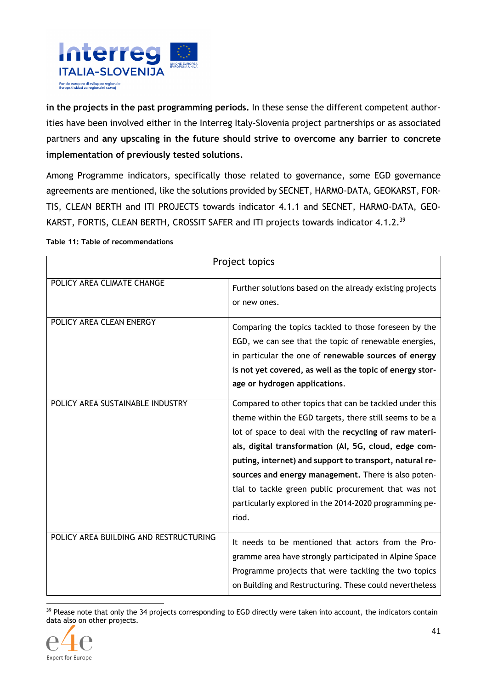

**in the projects in the past programming periods.** In these sense the different competent authorities have been involved either in the Interreg Italy-Slovenia project partnerships or as associated partners and **any upscaling in the future should strive to overcome any barrier to concrete implementation of previously tested solutions.** 

Among Programme indicators, specifically those related to governance, some EGD governance agreements are mentioned, like the solutions provided by SECNET, HARMO-DATA, GEOKARST, FOR-TIS, CLEAN BERTH and ITI PROJECTS towards indicator 4.1.1 and SECNET, HARMO-DATA, GEO-KARST, FORTIS, CLEAN BERTH, CROSSIT SAFER and ITI projects towards indicator 4.1.2.<sup>39</sup>

#### **Table 11: Table of recommendations**

| Project topics                         |                                                                                                                                                                                                                                                                                                                                                                                                                                                                                    |  |  |
|----------------------------------------|------------------------------------------------------------------------------------------------------------------------------------------------------------------------------------------------------------------------------------------------------------------------------------------------------------------------------------------------------------------------------------------------------------------------------------------------------------------------------------|--|--|
| POLICY AREA CLIMATE CHANGE             | Further solutions based on the already existing projects<br>or new ones.                                                                                                                                                                                                                                                                                                                                                                                                           |  |  |
| POLICY AREA CLEAN ENERGY               | Comparing the topics tackled to those foreseen by the<br>EGD, we can see that the topic of renewable energies,<br>in particular the one of renewable sources of energy<br>is not yet covered, as well as the topic of energy stor-<br>age or hydrogen applications.                                                                                                                                                                                                                |  |  |
| POLICY AREA SUSTAINABLE INDUSTRY       | Compared to other topics that can be tackled under this<br>theme within the EGD targets, there still seems to be a<br>lot of space to deal with the recycling of raw materi-<br>als, digital transformation (AI, 5G, cloud, edge com-<br>puting, internet) and support to transport, natural re-<br>sources and energy management. There is also poten-<br>tial to tackle green public procurement that was not<br>particularly explored in the 2014-2020 programming pe-<br>riod. |  |  |
| POLICY AREA BUILDING AND RESTRUCTURING | It needs to be mentioned that actors from the Pro-<br>gramme area have strongly participated in Alpine Space<br>Programme projects that were tackling the two topics<br>on Building and Restructuring. These could nevertheless                                                                                                                                                                                                                                                    |  |  |

<sup>39</sup> Please note that only the 34 projects corresponding to EGD directly were taken into account, the indicators contain data also on other projects.

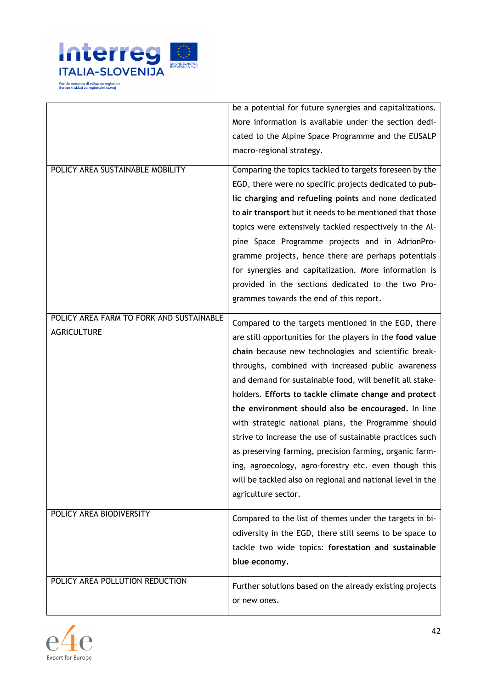

|                                          | be a potential for future synergies and capitalizations.   |
|------------------------------------------|------------------------------------------------------------|
|                                          | More information is available under the section dedi-      |
|                                          | cated to the Alpine Space Programme and the EUSALP         |
|                                          | macro-regional strategy.                                   |
| POLICY AREA SUSTAINABLE MOBILITY         | Comparing the topics tackled to targets foreseen by the    |
|                                          | EGD, there were no specific projects dedicated to pub-     |
|                                          | lic charging and refueling points and none dedicated       |
|                                          | to air transport but it needs to be mentioned that those   |
|                                          | topics were extensively tackled respectively in the Al-    |
|                                          | pine Space Programme projects and in AdrionPro-            |
|                                          | gramme projects, hence there are perhaps potentials        |
|                                          | for synergies and capitalization. More information is      |
|                                          | provided in the sections dedicated to the two Pro-         |
|                                          | grammes towards the end of this report.                    |
| POLICY AREA FARM TO FORK AND SUSTAINABLE |                                                            |
| <b>AGRICULTURE</b>                       | Compared to the targets mentioned in the EGD, there        |
|                                          | are still opportunities for the players in the food value  |
|                                          | chain because new technologies and scientific break-       |
|                                          | throughs, combined with increased public awareness         |
|                                          | and demand for sustainable food, will benefit all stake-   |
|                                          | holders. Efforts to tackle climate change and protect      |
|                                          | the environment should also be encouraged. In line         |
|                                          | with strategic national plans, the Programme should        |
|                                          | strive to increase the use of sustainable practices such   |
|                                          | as preserving farming, precision farming, organic farm-    |
|                                          | ing, agroecology, agro-forestry etc. even though this      |
|                                          | will be tackled also on regional and national level in the |
|                                          | agriculture sector.                                        |
| POLICY AREA BIODIVERSITY                 |                                                            |
|                                          | Compared to the list of themes under the targets in bi-    |
|                                          | odiversity in the EGD, there still seems to be space to    |
|                                          | tackle two wide topics: forestation and sustainable        |
|                                          | blue economy.                                              |
| POLICY AREA POLLUTION REDUCTION          |                                                            |
|                                          | Further solutions based on the already existing projects   |
|                                          | or new ones.                                               |

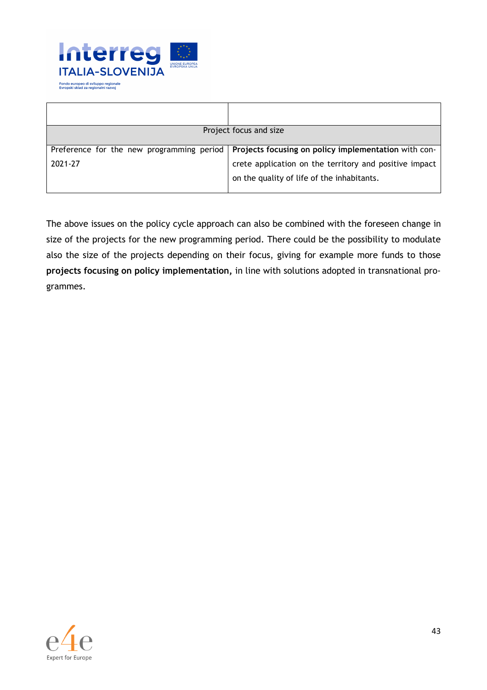

|         | Project focus and size                                                                           |
|---------|--------------------------------------------------------------------------------------------------|
|         | Preference for the new programming period   Projects focusing on policy implementation with con- |
| 2021-27 |                                                                                                  |
|         | crete application on the territory and positive impact                                           |
|         | on the quality of life of the inhabitants.                                                       |
|         |                                                                                                  |

The above issues on the policy cycle approach can also be combined with the foreseen change in size of the projects for the new programming period. There could be the possibility to modulate also the size of the projects depending on their focus, giving for example more funds to those **projects focusing on policy implementation,** in line with solutions adopted in transnational programmes.

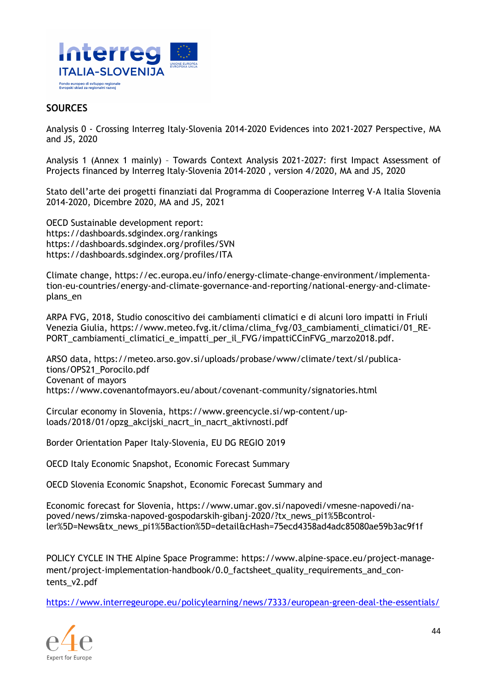

#### **SOURCES**

Analysis 0 - Crossing Interreg Italy-Slovenia 2014-2020 Evidences into 2021-2027 Perspective, MA and JS, 2020

Analysis 1 (Annex 1 mainly) – Towards Context Analysis 2021-2027: first Impact Assessment of Projects financed by Interreg Italy-Slovenia 2014-2020 , version 4/2020, MA and JS, 2020

Stato dell'arte dei progetti finanziati dal Programma di Cooperazione Interreg V-A Italia Slovenia 2014-2020, Dicembre 2020, MA and JS, 2021

OECD Sustainable development report: https://dashboards.sdgindex.org/rankings https://dashboards.sdgindex.org/profiles/SVN https://dashboards.sdgindex.org/profiles/ITA

Climate change, https://ec.europa.eu/info/energy-climate-change-environment/implementation-eu-countries/energy-and-climate-governance-and-reporting/national-energy-and-climateplans\_en

ARPA FVG, 2018, Studio conoscitivo dei cambiamenti climatici e di alcuni loro impatti in Friuli Venezia Giulia, https://www.meteo.fvg.it/clima/clima\_fvg/03\_cambiamenti\_climatici/01\_RE-PORT\_cambiamenti\_climatici\_e\_impatti\_per\_il\_FVG/impattiCCinFVG\_marzo2018.pdf.

ARSO data, https://meteo.arso.gov.si/uploads/probase/www/climate/text/sl/publications/OPS21\_Porocilo.pdf Covenant of mayors https://www.covenantofmayors.eu/about/covenant-community/signatories.html

Circular economy in Slovenia, https://www.greencycle.si/wp-content/uploads/2018/01/opzg\_akcijski\_nacrt\_in\_nacrt\_aktivnosti.pdf

Border Orientation Paper Italy-Slovenia, EU DG REGIO 2019

OECD Italy Economic Snapshot, Economic Forecast Summary

OECD Slovenia Economic Snapshot, Economic Forecast Summary and

Economic forecast for Slovenia, https://www.umar.gov.si/napovedi/vmesne-napovedi/napoved/news/zimska-napoved-gospodarskih-gibanj-2020/?tx\_news\_pi1%5Bcontroller%5D=News&tx\_news\_pi1%5Baction%5D=detail&cHash=75ecd4358ad4adc85080ae59b3ac9f1f

POLICY CYCLE IN THE Alpine Space Programme: https://www.alpine-space.eu/project-management/project-implementation-handbook/0.0 factsheet quality requirements and contents\_v2.pdf

https://www.interregeurope.eu/policylearning/news/7333/european-green-deal-the-essentials/

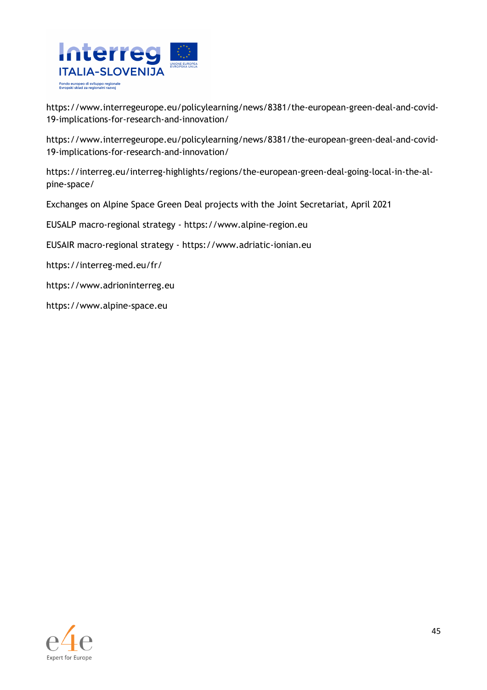

https://www.interregeurope.eu/policylearning/news/8381/the-european-green-deal-and-covid-19-implications-for-research-and-innovation/

https://www.interregeurope.eu/policylearning/news/8381/the-european-green-deal-and-covid-19-implications-for-research-and-innovation/

https://interreg.eu/interreg-highlights/regions/the-european-green-deal-going-local-in-the-alpine-space/

Exchanges on Alpine Space Green Deal projects with the Joint Secretariat, April 2021

EUSALP macro-regional strategy - https://www.alpine-region.eu

EUSAIR macro-regional strategy - https://www.adriatic-ionian.eu

https://interreg-med.eu/fr/

https://www.adrioninterreg.eu

https://www.alpine-space.eu

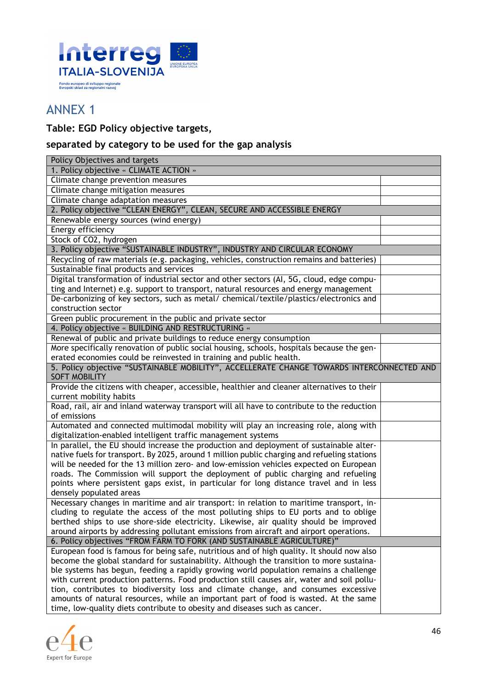

# ANNEX 1

### **Table: EGD Policy objective targets,**

### **separated by category to be used for the gap analysis**

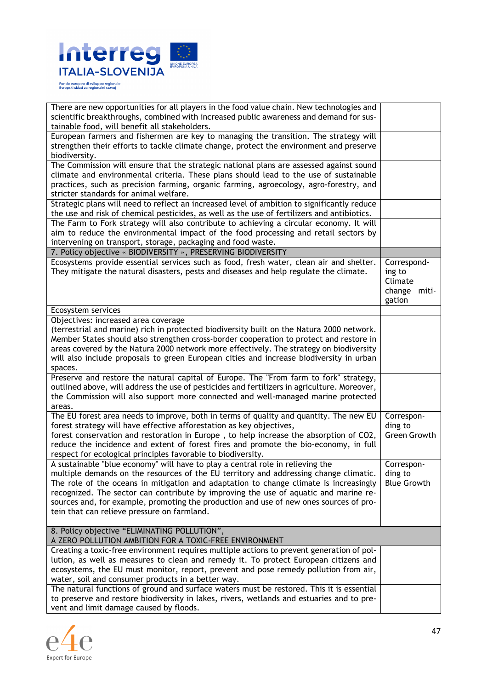

| There are new opportunities for all players in the food value chain. New technologies and    |                    |
|----------------------------------------------------------------------------------------------|--------------------|
| scientific breakthroughs, combined with increased public awareness and demand for sus-       |                    |
| tainable food, will benefit all stakeholders.                                                |                    |
| European farmers and fishermen are key to managing the transition. The strategy will         |                    |
| strengthen their efforts to tackle climate change, protect the environment and preserve      |                    |
| biodiversity.                                                                                |                    |
| The Commission will ensure that the strategic national plans are assessed against sound      |                    |
| climate and environmental criteria. These plans should lead to the use of sustainable        |                    |
| practices, such as precision farming, organic farming, agroecology, agro-forestry, and       |                    |
| stricter standards for animal welfare.                                                       |                    |
| Strategic plans will need to reflect an increased level of ambition to significantly reduce  |                    |
| the use and risk of chemical pesticides, as well as the use of fertilizers and antibiotics.  |                    |
| The Farm to Fork strategy will also contribute to achieving a circular economy. It will      |                    |
| aim to reduce the environmental impact of the food processing and retail sectors by          |                    |
| intervening on transport, storage, packaging and food waste.                                 |                    |
| 7. Policy objective « BIODIVERSITY », PRESERVING BIODIVERSITY                                |                    |
| Ecosystems provide essential services such as food, fresh water, clean air and shelter.      | Correspond-        |
| They mitigate the natural disasters, pests and diseases and help regulate the climate.       | ing to             |
|                                                                                              | Climate            |
|                                                                                              | change miti-       |
|                                                                                              | gation             |
| Ecosystem services                                                                           |                    |
| Objectives: increased area coverage                                                          |                    |
| (terrestrial and marine) rich in protected biodiversity built on the Natura 2000 network.    |                    |
| Member States should also strengthen cross-border cooperation to protect and restore in      |                    |
| areas covered by the Natura 2000 network more effectively. The strategy on biodiversity      |                    |
| will also include proposals to green European cities and increase biodiversity in urban      |                    |
| spaces.                                                                                      |                    |
| Preserve and restore the natural capital of Europe. The "From farm to fork" strategy,        |                    |
| outlined above, will address the use of pesticides and fertilizers in agriculture. Moreover, |                    |
| the Commission will also support more connected and well-managed marine protected            |                    |
| areas.                                                                                       |                    |
| The EU forest area needs to improve, both in terms of quality and quantity. The new EU       | Correspon-         |
| forest strategy will have effective afforestation as key objectives,                         | ding to            |
| forest conservation and restoration in Europe, to help increase the absorption of CO2,       | Green Growth       |
| reduce the incidence and extent of forest fires and promote the bio-economy, in full         |                    |
| respect for ecological principles favorable to biodiversity.                                 |                    |
| A sustainable "blue economy" will have to play a central role in relieving the               | Correspon-         |
| multiple demands on the resources of the EU territory and addressing change climatic.        | ding to            |
| The role of the oceans in mitigation and adaptation to change climate is increasingly        | <b>Blue Growth</b> |
| recognized. The sector can contribute by improving the use of aquatic and marine re-         |                    |
| sources and, for example, promoting the production and use of new ones sources of pro-       |                    |
| tein that can relieve pressure on farmland.                                                  |                    |
|                                                                                              |                    |
| 8. Policy objective "ELIMINATING POLLUTION",                                                 |                    |
| A ZERO POLLUTION AMBITION FOR A TOXIC-FREE ENVIRONMENT                                       |                    |
| Creating a toxic-free environment requires multiple actions to prevent generation of pol-    |                    |
| lution, as well as measures to clean and remedy it. To protect European citizens and         |                    |
| ecosystems, the EU must monitor, report, prevent and pose remedy pollution from air,         |                    |
| water, soil and consumer products in a better way.                                           |                    |
| The natural functions of ground and surface waters must be restored. This it is essential    |                    |
| to preserve and restore biodiversity in lakes, rivers, wetlands and estuaries and to pre-    |                    |
| vent and limit damage caused by floods.                                                      |                    |

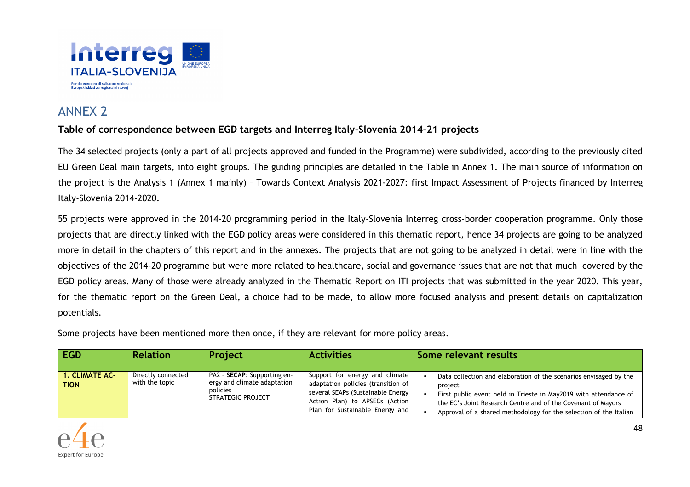

# ANNEX 2

### **Table of correspondence between EGD targets and Interreg Italy-Slovenia 2014-21 projects**

The 34 selected projects (only a part of all projects approved and funded in the Programme) were subdivided, according to the previously cited EU Green Deal main targets, into eight groups. The guiding principles are detailed in the Table in Annex 1. The main source of information on the project is the Analysis 1 (Annex 1 mainly) – Towards Context Analysis 2021-2027: first Impact Assessment of Projects financed by Interreg Italy-Slovenia 2014-2020.

55 projects were approved in the 2014-20 programming period in the Italy-Slovenia Interreg cross-border cooperation programme. Only those projects that are directly linked with the EGD policy areas were considered in this thematic report, hence 34 projects are going to be analyzed more in detail in the chapters of this report and in the annexes. The projects that are not going to be analyzed in detail were in line with the objectives of the 2014-20 programme but were more related to healthcare, social and governance issues that are not that much covered by the EGD policy areas. Many of those were already analyzed in the Thematic Report on ITI projects that was submitted in the year 2020. This year, for the thematic report on the Green Deal, a choice had to be made, to allow more focused analysis and present details on capitalization potentials.

Some projects have been mentioned more then once, if they are relevant for more policy areas.

| EGD                                  | <b>Relation</b>                      | <b>Project</b>                                                                                      | <b>Activities</b>                                                                                                                                                              | Some relevant results                                                                                                                                                                                                                                                                 |
|--------------------------------------|--------------------------------------|-----------------------------------------------------------------------------------------------------|--------------------------------------------------------------------------------------------------------------------------------------------------------------------------------|---------------------------------------------------------------------------------------------------------------------------------------------------------------------------------------------------------------------------------------------------------------------------------------|
| <b>1. CLIMATE AC-</b><br><b>TION</b> | Directly connected<br>with the topic | PA2 - <b>SECAP</b> : Supporting en-<br>ergy and climate adaptation<br>policies<br>STRATEGIC PROJECT | Support for energy and climate<br>adaptation policies (transition of<br>several SEAPs (Sustainable Energy<br>Action Plan) to APSECs (Action<br>Plan for Sustainable Energy and | Data collection and elaboration of the scenarios envisaged by the<br>project<br>First public event held in Trieste in May2019 with attendance of<br>the EC's Joint Research Centre and of the Covenant of Mayors<br>Approval of a shared methodology for the selection of the Italian |

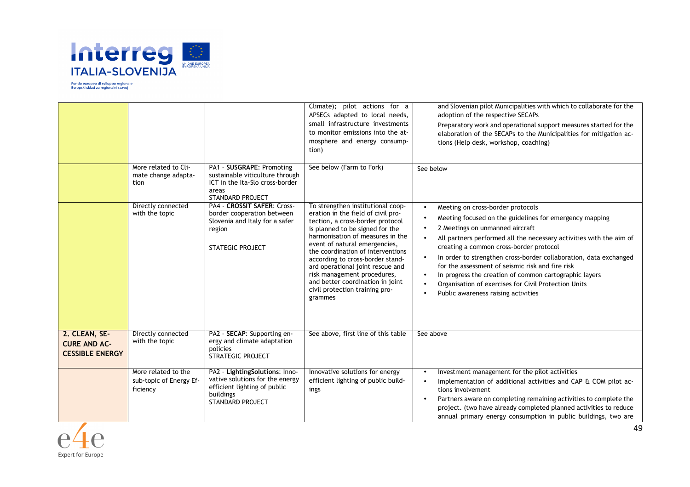

|                                                                |                                                            |                                                                                                                                           | Climate); pilot actions for a<br>APSECs adapted to local needs,<br>small infrastructure investments<br>to monitor emissions into the at-<br>mosphere and energy consump-<br>tion)                                                                                                                                                                                                                                                                | and Slovenian pilot Municipalities with which to collaborate for the<br>adoption of the respective SECAPs<br>Preparatory work and operational support measures started for the<br>elaboration of the SECAPs to the Municipalities for mitigation ac-<br>tions (Help desk, workshop, coaching)                                                                                                                                                                                                                                                                 |
|----------------------------------------------------------------|------------------------------------------------------------|-------------------------------------------------------------------------------------------------------------------------------------------|--------------------------------------------------------------------------------------------------------------------------------------------------------------------------------------------------------------------------------------------------------------------------------------------------------------------------------------------------------------------------------------------------------------------------------------------------|---------------------------------------------------------------------------------------------------------------------------------------------------------------------------------------------------------------------------------------------------------------------------------------------------------------------------------------------------------------------------------------------------------------------------------------------------------------------------------------------------------------------------------------------------------------|
|                                                                | More related to Cli-<br>mate change adapta-<br>tion        | PA1 - SUSGRAPE: Promoting<br>sustainable viticulture through<br>ICT in the Ita-Slo cross-border<br>areas<br><b>STANDARD PROJECT</b>       | See below (Farm to Fork)                                                                                                                                                                                                                                                                                                                                                                                                                         | See below                                                                                                                                                                                                                                                                                                                                                                                                                                                                                                                                                     |
|                                                                | Directly connected<br>with the topic                       | PA4 - CROSSIT SAFER: Cross-<br>border cooperation between<br>Slovenia and Italy for a safer<br>region<br><b>STATEGIC PROJECT</b>          | To strengthen institutional coop-<br>eration in the field of civil pro-<br>tection, a cross-border protocol<br>is planned to be signed for the<br>harmonisation of measures in the<br>event of natural emergencies,<br>the coordination of interventions<br>according to cross-border stand-<br>ard operational joint rescue and<br>risk management procedures,<br>and better coordination in joint<br>civil protection training pro-<br>grammes | Meeting on cross-border protocols<br>$\bullet$<br>Meeting focused on the guidelines for emergency mapping<br>2 Meetings on unmanned aircraft<br>All partners performed all the necessary activities with the aim of<br>creating a common cross-border protocol<br>In order to strengthen cross-border collaboration, data exchanged<br>for the assessment of seismic risk and fire risk<br>In progress the creation of common cartographic layers<br>$\bullet$<br>Organisation of exercises for Civil Protection Units<br>Public awareness raising activities |
| 2. CLEAN, SE-<br><b>CURE AND AC-</b><br><b>CESSIBLE ENERGY</b> | Directly connected<br>with the topic                       | PA2 - SECAP: Supporting en-<br>ergy and climate adaptation<br>policies<br>STRATEGIC PROJECT                                               | See above, first line of this table                                                                                                                                                                                                                                                                                                                                                                                                              | See above                                                                                                                                                                                                                                                                                                                                                                                                                                                                                                                                                     |
|                                                                | More related to the<br>sub-topic of Energy Ef-<br>ficiency | PA2 - LightingSolutions: Inno-<br>vative solutions for the energy<br>efficient lighting of public<br>buildings<br><b>STANDARD PROJECT</b> | Innovative solutions for energy<br>efficient lighting of public build-<br>ings                                                                                                                                                                                                                                                                                                                                                                   | Investment management for the pilot activities<br>$\bullet$<br>Implementation of additional activities and CAP & COM pilot ac-<br>tions involvement<br>Partners aware on completing remaining activities to complete the<br>project. (two have already completed planned activities to reduce<br>annual primary energy consumption in public buildings, two are                                                                                                                                                                                               |

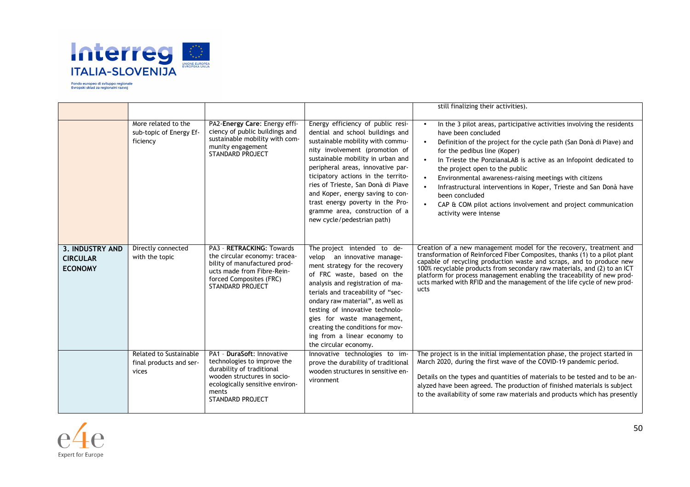

|                                                             |                                                            |                                                                                                                                                                                              |                                                                                                                                                                                                                                                                                                                                                                                                                                           | still finalizing their activities).                                                                                                                                                                                                                                                                                                                                                                                                                                                                                                                                  |
|-------------------------------------------------------------|------------------------------------------------------------|----------------------------------------------------------------------------------------------------------------------------------------------------------------------------------------------|-------------------------------------------------------------------------------------------------------------------------------------------------------------------------------------------------------------------------------------------------------------------------------------------------------------------------------------------------------------------------------------------------------------------------------------------|----------------------------------------------------------------------------------------------------------------------------------------------------------------------------------------------------------------------------------------------------------------------------------------------------------------------------------------------------------------------------------------------------------------------------------------------------------------------------------------------------------------------------------------------------------------------|
|                                                             | More related to the<br>sub-topic of Energy Ef-<br>ficiency | PA2-Energy Care: Energy effi-<br>ciency of public buildings and<br>sustainable mobility with com-<br>munity engagement<br>STANDARD PROJECT                                                   | Energy efficiency of public resi-<br>dential and school buildings and<br>sustainable mobility with commu-<br>nity involvement (promotion of<br>sustainable mobility in urban and<br>peripheral areas, innovative par-<br>ticipatory actions in the territo-<br>ries of Trieste, San Donà di Piave<br>and Koper, energy saving to con-<br>trast energy poverty in the Pro-<br>gramme area, construction of a<br>new cycle/pedestrian path) | In the 3 pilot areas, participative activities involving the residents<br>have been concluded<br>Definition of the project for the cycle path (San Donà di Piave) and<br>$\bullet$<br>for the pedibus line (Koper)<br>In Trieste the PonzianaLAB is active as an Infopoint dedicated to<br>the project open to the public<br>Environmental awareness-raising meetings with citizens<br>Infrastructural interventions in Koper, Trieste and San Donà have<br>been concluded<br>CAP & COM pilot actions involvement and project communication<br>activity were intense |
| <b>3. INDUSTRY AND</b><br><b>CIRCULAR</b><br><b>ECONOMY</b> | Directly connected<br>with the topic                       | PA3 - RETRACKING: Towards<br>the circular economy: tracea-<br>bility of manufactured prod-<br>ucts made from Fibre-Rein-<br>forced Composites (FRC)<br><b>STANDARD PROJECT</b>               | The project intended to de-<br>velop an innovative manage-<br>ment strategy for the recovery<br>of FRC waste, based on the<br>analysis and registration of ma-<br>terials and traceability of "sec-<br>ondary raw material", as well as<br>testing of innovative technolo-<br>gies for waste management,<br>creating the conditions for mov-<br>ing from a linear economy to<br>the circular economy.                                     | Creation of a new management model for the recovery, treatment and<br>transformation of Reinforced Fiber Composites, thanks (1) to a pilot plant<br>capable of recycling production waste and scraps, and to produce new<br>100% recyclable products from secondary raw materials, and (2) to an ICT<br>platform for process management enabling the traceability of new prod-<br>ucts marked with RFID and the management of the life cycle of new prod-<br>ucts                                                                                                    |
|                                                             | Related to Sustainable<br>final products and ser-<br>vices | PA1 - DuraSoft: Innovative<br>technologies to improve the<br>durability of traditional<br>wooden structures in socio-<br>ecologically sensitive environ-<br>ments<br><b>STANDARD PROJECT</b> | Innovative technologies to im-<br>prove the durability of traditional<br>wooden structures in sensitive en-<br>vironment                                                                                                                                                                                                                                                                                                                  | The project is in the initial implementation phase, the project started in<br>March 2020, during the first wave of the COVID-19 pandemic period.<br>Details on the types and quantities of materials to be tested and to be an-<br>alyzed have been agreed. The production of finished materials is subject<br>to the availability of some raw materials and products which has presently                                                                                                                                                                            |

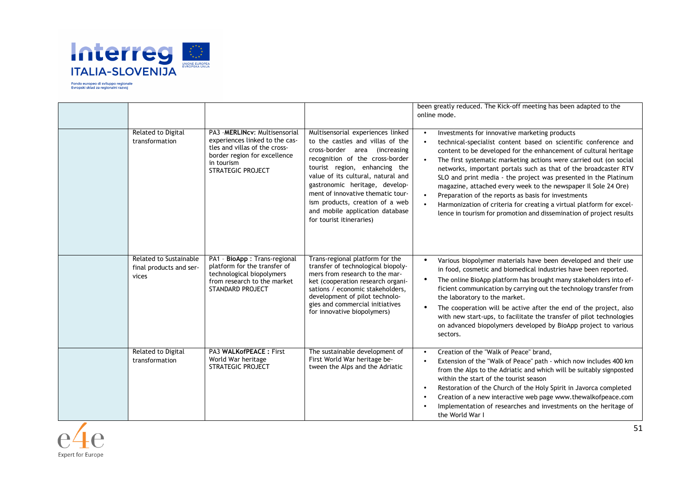

|                                                            |                                                                                                                                                                             |                                                                                                                                                                                                                                                                                                                                                                                           | been greatly reduced. The Kick-off meeting has been adapted to the<br>online mode.                                                                                                                                                                                                                                                                                                                                                                                                                                                                                                                                                                                                    |
|------------------------------------------------------------|-----------------------------------------------------------------------------------------------------------------------------------------------------------------------------|-------------------------------------------------------------------------------------------------------------------------------------------------------------------------------------------------------------------------------------------------------------------------------------------------------------------------------------------------------------------------------------------|---------------------------------------------------------------------------------------------------------------------------------------------------------------------------------------------------------------------------------------------------------------------------------------------------------------------------------------------------------------------------------------------------------------------------------------------------------------------------------------------------------------------------------------------------------------------------------------------------------------------------------------------------------------------------------------|
| Related to Digital<br>transformation                       | PA3 - MERLINCV: Multisensorial<br>experiences linked to the cas-<br>tles and villas of the cross-<br>border region for excellence<br>in tourism<br><b>STRATEGIC PROJECT</b> | Multisensorial experiences linked<br>to the castles and villas of the<br>cross-border area (increasing<br>recognition of the cross-border<br>tourist region, enhancing the<br>value of its cultural, natural and<br>gastronomic heritage, develop-<br>ment of innovative thematic tour-<br>ism products, creation of a web<br>and mobile application database<br>for tourist itineraries) | Investments for innovative marketing products<br>technical-specialist content based on scientific conference and<br>$\bullet$<br>content to be developed for the enhancement of cultural heritage<br>The first systematic marketing actions were carried out (on social<br>networks, important portals such as that of the broadcaster RTV<br>SLO and print media - the project was presented in the Platinum<br>magazine, attached every week to the newspaper Il Sole 24 Ore)<br>Preparation of the reports as basis for investments<br>Harmonization of criteria for creating a virtual platform for excel-<br>lence in tourism for promotion and dissemination of project results |
| Related to Sustainable<br>final products and ser-<br>vices | PA1 - BioApp : Trans-regional<br>platform for the transfer of<br>technological biopolymers<br>from research to the market<br><b>STANDARD PROJECT</b>                        | Trans-regional platform for the<br>transfer of technological biopoly-<br>mers from research to the mar-<br>ket (cooperation research organi-<br>sations / economic stakeholders,<br>development of pilot technolo-<br>gies and commercial initiatives<br>for innovative biopolymers)                                                                                                      | Various biopolymer materials have been developed and their use<br>$\bullet$<br>in food, cosmetic and biomedical industries have been reported.<br>The online BioApp platform has brought many stakeholders into ef-<br>ficient communication by carrying out the technology transfer from<br>the laboratory to the market.<br>The cooperation will be active after the end of the project, also<br>with new start-ups, to facilitate the transfer of pilot technologies<br>on advanced biopolymers developed by BioApp project to various<br>sectors.                                                                                                                                 |
| Related to Digital<br>transformation                       | PA3 WALK of PEACE: First<br>World War heritage<br><b>STRATEGIC PROJECT</b>                                                                                                  | The sustainable development of<br>First World War heritage be-<br>tween the Alps and the Adriatic                                                                                                                                                                                                                                                                                         | Creation of the "Walk of Peace" brand,<br>$\bullet$<br>Extension of the "Walk of Peace" path - which now includes 400 km<br>from the Alps to the Adriatic and which will be suitably signposted<br>within the start of the tourist season<br>Restoration of the Church of the Holy Spirit in Javorca completed<br>Creation of a new interactive web page www.thewalkofpeace.com<br>Implementation of researches and investments on the heritage of<br>the World War I                                                                                                                                                                                                                 |

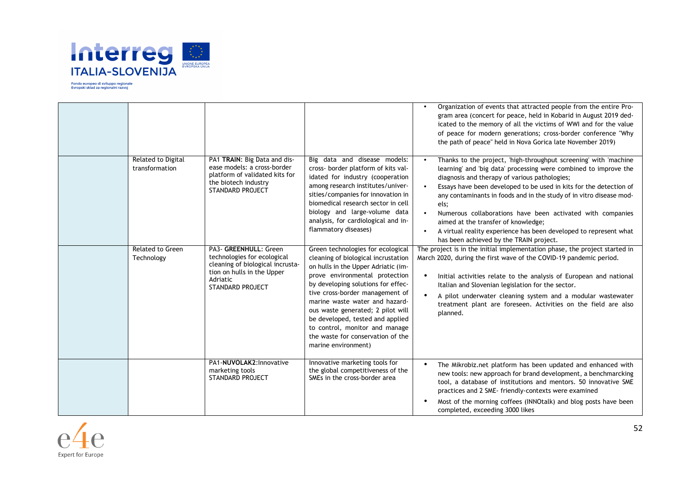

|                                       |                                                                                                                                                               |                                                                                                                                                                                                                                                                                                                                                                                                                                     | Organization of events that attracted people from the entire Pro-<br>gram area (concert for peace, held in Kobarid in August 2019 ded-<br>icated to the memory of all the victims of WWI and for the value<br>of peace for modern generations; cross-border conference "Why<br>the path of peace" held in Nova Gorica late November 2019)                                                                                                                                                                                                                                    |
|---------------------------------------|---------------------------------------------------------------------------------------------------------------------------------------------------------------|-------------------------------------------------------------------------------------------------------------------------------------------------------------------------------------------------------------------------------------------------------------------------------------------------------------------------------------------------------------------------------------------------------------------------------------|------------------------------------------------------------------------------------------------------------------------------------------------------------------------------------------------------------------------------------------------------------------------------------------------------------------------------------------------------------------------------------------------------------------------------------------------------------------------------------------------------------------------------------------------------------------------------|
| Related to Digital<br>transformation  | PA1 TRAIN: Big Data and dis-<br>ease models: a cross-border<br>platform of validated kits for<br>the biotech industry<br><b>STANDARD PROJECT</b>              | Big data and disease models:<br>cross- border platform of kits val-<br>idated for industry (cooperation<br>among research institutes/univer-<br>sities/companies for innovation in<br>biomedical research sector in cell<br>biology and large-volume data<br>analysis, for cardiological and in-<br>flammatory diseases)                                                                                                            | Thanks to the project, 'high-throughput screening' with 'machine<br>learning' and 'big data' processing were combined to improve the<br>diagnosis and therapy of various pathologies;<br>Essays have been developed to be used in kits for the detection of<br>any contaminants in foods and in the study of in vitro disease mod-<br>els;<br>Numerous collaborations have been activated with companies<br>$\bullet$<br>aimed at the transfer of knowledge;<br>A virtual reality experience has been developed to represent what<br>has been achieved by the TRAIN project. |
| <b>Related to Green</b><br>Technology | PA3- GREENHULL: Green<br>technologies for ecological<br>cleaning of biological incrusta-<br>tion on hulls in the Upper<br>Adriatic<br><b>STANDARD PROJECT</b> | Green technologies for ecological<br>cleaning of biological incrustation<br>on hulls in the Upper Adriatic (im-<br>prove environmental protection<br>by developing solutions for effec-<br>tive cross-border management of<br>marine waste water and hazard-<br>ous waste generated; 2 pilot will<br>be developed, tested and applied<br>to control, monitor and manage<br>the waste for conservation of the<br>marine environment) | The project is in the initial implementation phase, the project started in<br>March 2020, during the first wave of the COVID-19 pandemic period.<br>Initial activities relate to the analysis of European and national<br>Italian and Slovenian legislation for the sector.<br>A pilot underwater cleaning system and a modular wastewater<br>treatment plant are foreseen. Activities on the field are also<br>planned.                                                                                                                                                     |
|                                       | PA1-NUVOLAK2: Innovative<br>marketing tools<br><b>STANDARD PROJECT</b>                                                                                        | Innovative marketing tools for<br>the global competitiveness of the<br>SMEs in the cross-border area                                                                                                                                                                                                                                                                                                                                | The Mikrobiz.net platform has been updated and enhanced with<br>new tools: new approach for brand development, a benchmarcking<br>tool, a database of institutions and mentors. 50 innovative SME<br>practices and 2 SME- friendly-contexts were examined<br>Most of the morning coffees (INNOtalk) and blog posts have been<br>completed, exceeding 3000 likes                                                                                                                                                                                                              |

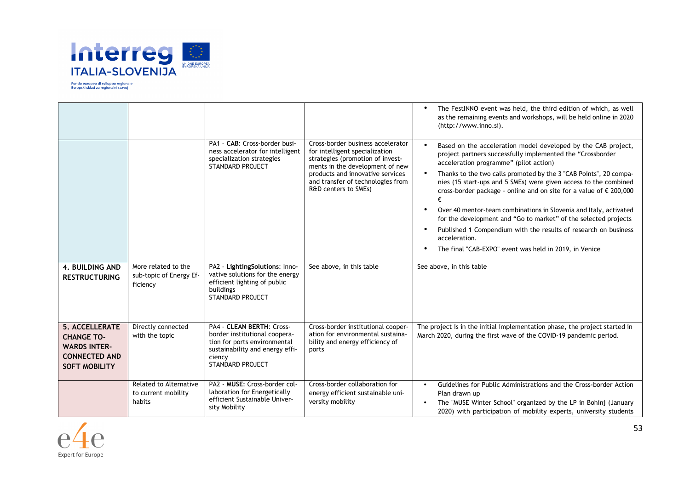

|                                                                                                                   |                                                            |                                                                                                                                                                    |                                                                                                                                                                                                                                             | The FestINNO event was held, the third edition of which, as well<br>$\bullet$<br>as the remaining events and workshops, will be held online in 2020<br>(http://www.inno.si).                                                                                                                                                                                                                                                                                                                                                                                                                                                                                                            |
|-------------------------------------------------------------------------------------------------------------------|------------------------------------------------------------|--------------------------------------------------------------------------------------------------------------------------------------------------------------------|---------------------------------------------------------------------------------------------------------------------------------------------------------------------------------------------------------------------------------------------|-----------------------------------------------------------------------------------------------------------------------------------------------------------------------------------------------------------------------------------------------------------------------------------------------------------------------------------------------------------------------------------------------------------------------------------------------------------------------------------------------------------------------------------------------------------------------------------------------------------------------------------------------------------------------------------------|
|                                                                                                                   |                                                            | PA1 - CAB: Cross-border busi-<br>ness accelerator for intelligent<br>specialization strategies<br><b>STANDARD PROJECT</b>                                          | Cross-border business accelerator<br>for intelligent specialization<br>strategies (promotion of invest-<br>ments in the development of new<br>products and innovative services<br>and transfer of technologies from<br>R&D centers to SMEs) | Based on the acceleration model developed by the CAB project,<br>$\bullet$<br>project partners successfully implemented the "Crossborder<br>acceleration programme" (pilot action)<br>Thanks to the two calls promoted by the 3 "CAB Points", 20 compa-<br>nies (15 start-ups and 5 SMEs) were given access to the combined<br>cross-border package - online and on site for a value of € 200,000<br>Over 40 mentor-team combinations in Slovenia and Italy, activated<br>for the development and "Go to market" of the selected projects<br>Published 1 Compendium with the results of research on business<br>acceleration.<br>The final "CAB-EXPO" event was held in 2019, in Venice |
| <b>4. BUILDING AND</b><br><b>RESTRUCTURING</b>                                                                    | More related to the<br>sub-topic of Energy Ef-<br>ficiency | PA2 - LightingSolutions: Inno-<br>vative solutions for the energy<br>efficient lighting of public<br>buildings<br>STANDARD PROJECT                                 | See above, in this table                                                                                                                                                                                                                    | See above, in this table                                                                                                                                                                                                                                                                                                                                                                                                                                                                                                                                                                                                                                                                |
| <b>5. ACCELLERATE</b><br><b>CHANGE TO-</b><br><b>WARDS INTER-</b><br><b>CONNECTED AND</b><br><b>SOFT MOBILITY</b> | Directly connected<br>with the topic                       | PA4 - CLEAN BERTH: Cross-<br>border institutional coopera-<br>tion for ports environmental<br>sustainability and energy effi-<br>ciency<br><b>STANDARD PROJECT</b> | Cross-border institutional cooper-<br>ation for environmental sustaina-<br>bility and energy efficiency of<br>ports                                                                                                                         | The project is in the initial implementation phase, the project started in<br>March 2020, during the first wave of the COVID-19 pandemic period.                                                                                                                                                                                                                                                                                                                                                                                                                                                                                                                                        |
|                                                                                                                   | Related to Alternative<br>to current mobility<br>habits    | PA2 - MUSE: Cross-border col-<br>laboration for Energetically<br>efficient Sustainable Univer-<br>sity Mobility                                                    | Cross-border collaboration for<br>energy efficient sustainable uni-<br>versity mobility                                                                                                                                                     | Guidelines for Public Administrations and the Cross-border Action<br>$\bullet$<br>Plan drawn up<br>The "MUSE Winter School" organized by the LP in Bohinj (January<br>2020) with participation of mobility experts, university students                                                                                                                                                                                                                                                                                                                                                                                                                                                 |

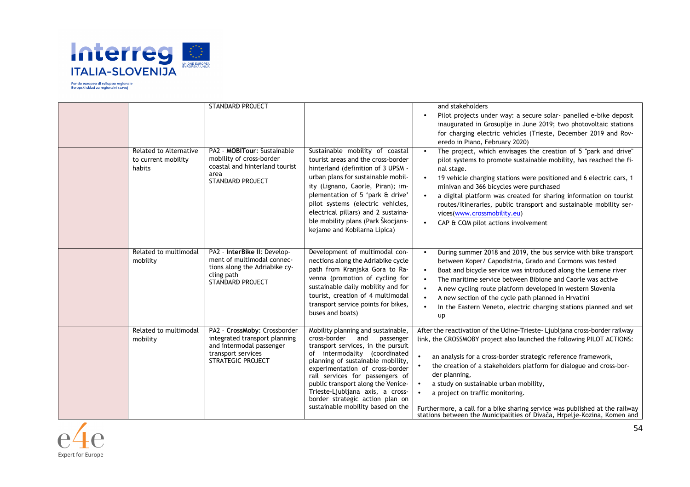

| Related to Alternative<br>to current mobility<br>habits | <b>STANDARD PROJECT</b><br>PA2 - MOBITour: Sustainable<br>mobility of cross-border<br>coastal and hinterland tourist<br>area                | Sustainable mobility of coastal<br>tourist areas and the cross-border<br>hinterland (definition of 3 UPSM -                                                                                                                                                                                                                                                                                                | and stakeholders<br>Pilot projects under way: a secure solar- panelled e-bike deposit<br>inaugurated in Grosuplje in June 2019; two photovoltaic stations<br>for charging electric vehicles (Trieste, December 2019 and Rov-<br>eredo in Piano, February 2020)<br>The project, which envisages the creation of 5 "park and drive"<br>pilot systems to promote sustainable mobility, has reached the fi-<br>nal stage.                                                                                                                                                                                      |
|---------------------------------------------------------|---------------------------------------------------------------------------------------------------------------------------------------------|------------------------------------------------------------------------------------------------------------------------------------------------------------------------------------------------------------------------------------------------------------------------------------------------------------------------------------------------------------------------------------------------------------|------------------------------------------------------------------------------------------------------------------------------------------------------------------------------------------------------------------------------------------------------------------------------------------------------------------------------------------------------------------------------------------------------------------------------------------------------------------------------------------------------------------------------------------------------------------------------------------------------------|
|                                                         | STANDARD PROJECT                                                                                                                            | urban plans for sustainable mobil-<br>ity (Lignano, Caorle, Piran); im-<br>plementation of 5 'park & drive'<br>pilot systems (electric vehicles,<br>electrical pillars) and 2 sustaina-<br>ble mobility plans (Park Škocjans-<br>kejame and Kobilarna Lipica)                                                                                                                                              | 19 vehicle charging stations were positioned and 6 electric cars, 1<br>minivan and 366 bicycles were purchased<br>a digital platform was created for sharing information on tourist<br>routes/itineraries, public transport and sustainable mobility ser-<br>vices(www.crossmobility.eu)<br>CAP & COM pilot actions involvement                                                                                                                                                                                                                                                                            |
| Related to multimodal<br>mobility                       | PA2 - InterBike II: Develop-<br>ment of multimodal connec-<br>tions along the Adriabike cy-<br>cling path<br><b>STANDARD PROJECT</b>        | Development of multimodal con-<br>nections along the Adriabike cycle<br>path from Kranjska Gora to Ra-<br>venna (promotion of cycling for<br>sustainable daily mobility and for<br>tourist, creation of 4 multimodal<br>transport service points for bikes,<br>buses and boats)                                                                                                                            | During summer 2018 and 2019, the bus service with bike transport<br>between Koper/ Capodistria, Grado and Cormons was tested<br>Boat and bicycle service was introduced along the Lemene river<br>The maritime service between Bibione and Caorle was active<br>A new cycling route platform developed in western Slovenia<br>A new section of the cycle path planned in Hrvatini<br>In the Eastern Veneto, electric charging stations planned and set<br>up                                                                                                                                               |
| Related to multimodal<br>mobility                       | PA2 - CrossMoby: Crossborder<br>integrated transport planning<br>and intermodal passenger<br>transport services<br><b>STRATEGIC PROJECT</b> | Mobility planning and sustainable,<br>cross-border<br>and<br>passenger<br>transport services, in the pursuit<br>of intermodality (coordinated<br>planning of sustainable mobility,<br>experimentation of cross-border<br>rail services for passengers of<br>public transport along the Venice-<br>Trieste-Ljubljana axis, a cross-<br>border strategic action plan on<br>sustainable mobility based on the | After the reactivation of the Udine-Trieste-Ljubljana cross-border railway<br>link, the CROSSMOBY project also launched the following PILOT ACTIONS:<br>an analysis for a cross-border strategic reference framework,<br>$\bullet$<br>the creation of a stakeholders platform for dialogue and cross-bor-<br>$\bullet$<br>der planning,<br>a study on sustainable urban mobility,<br>$\bullet$<br>a project on traffic monitoring.<br>$\bullet$<br>Furthermore, a call for a bike sharing service was published at the railway<br>stations between the Municipalities of Divača, Hrpelje-Kozina, Komen and |

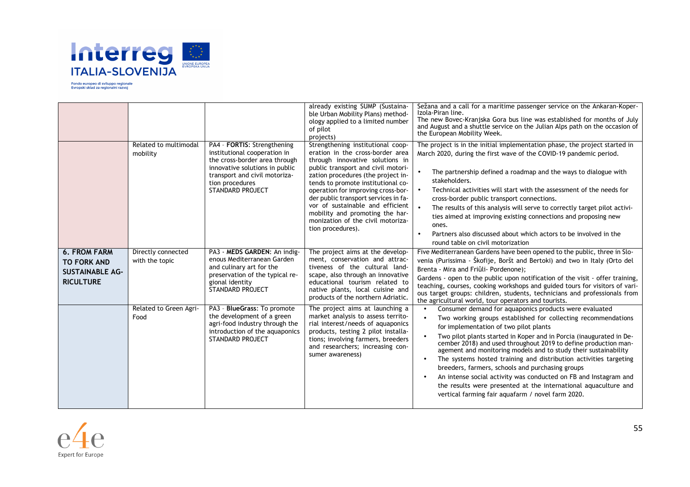

|                                                                                         | Related to multimodal<br>mobility    | PA4 - FORTIS: Strengthening<br>institutional cooperation in<br>the cross-border area through<br>innovative solutions in public<br>transport and civil motoriza-<br>tion procedures<br>STANDARD PROJECT | already existing SUMP (Sustaina-<br>ble Urban Mobility Plans) method-<br>ology applied to a limited number<br>of pilot<br>projects)<br>Strengthening institutional coop-<br>eration in the cross-border area<br>through innovative solutions in<br>public transport and civil motori-<br>zation procedures (the project in-<br>tends to promote institutional co-<br>operation for improving cross-bor-<br>der public transport services in fa-<br>vor of sustainable and efficient<br>mobility and promoting the har-<br>monization of the civil motoriza-<br>tion procedures). | Sežana and a call for a maritime passenger service on the Ankaran-Koper-<br>Izola-Piran line.<br>The new Bovec-Kranjska Gora bus line was established for months of July<br>and August and a shuttle service on the Julian Alps path on the occasion of<br>the European Mobility Week.<br>The project is in the initial implementation phase, the project started in<br>March 2020, during the first wave of the COVID-19 pandemic period.<br>The partnership defined a roadmap and the ways to dialogue with<br>$\bullet$<br>stakeholders.<br>Technical activities will start with the assessment of the needs for<br>$\bullet$<br>cross-border public transport connections.<br>$\bullet$<br>The results of this analysis will serve to correctly target pilot activi-<br>ties aimed at improving existing connections and proposing new<br>ones.<br>Partners also discussed about which actors to be involved in the<br>$\bullet$<br>round table on civil motorization |
|-----------------------------------------------------------------------------------------|--------------------------------------|--------------------------------------------------------------------------------------------------------------------------------------------------------------------------------------------------------|----------------------------------------------------------------------------------------------------------------------------------------------------------------------------------------------------------------------------------------------------------------------------------------------------------------------------------------------------------------------------------------------------------------------------------------------------------------------------------------------------------------------------------------------------------------------------------|---------------------------------------------------------------------------------------------------------------------------------------------------------------------------------------------------------------------------------------------------------------------------------------------------------------------------------------------------------------------------------------------------------------------------------------------------------------------------------------------------------------------------------------------------------------------------------------------------------------------------------------------------------------------------------------------------------------------------------------------------------------------------------------------------------------------------------------------------------------------------------------------------------------------------------------------------------------------------|
| <b>6. FROM FARM</b><br><b>TO FORK AND</b><br><b>SUSTAINABLE AG-</b><br><b>RICULTURE</b> | Directly connected<br>with the topic | PA3 - MEDS GARDEN: An indig-<br>enous Mediterranean Garden<br>and culinary art for the<br>preservation of the typical re-<br>gional identity<br><b>STANDARD PROJECT</b>                                | The project aims at the develop-<br>ment, conservation and attrac-<br>tiveness of the cultural land-<br>scape, also through an innovative<br>educational tourism related to<br>native plants, local cuisine and<br>products of the northern Adriatic.                                                                                                                                                                                                                                                                                                                            | Five Mediterranean Gardens have been opened to the public, three in Slo-<br>venia (Purissima - Škofije, Boršt and Bertoki) and two in Italy (Orto del<br>Brenta - Mira and Friûli- Pordenone);<br>Gardens - open to the public upon notification of the visit - offer training,<br>teaching, courses, cooking workshops and guided tours for visitors of vari-<br>ous target groups: children, students, technicians and professionals from<br>the agricultural world, tour operators and tourists.                                                                                                                                                                                                                                                                                                                                                                                                                                                                       |
|                                                                                         | Related to Green Agri-<br>Food       | PA3 - BlueGrass: To promote<br>the development of a green<br>agri-food industry through the<br>introduction of the aquaponics<br><b>STANDARD PROJECT</b>                                               | The project aims at launching a<br>market analysis to assess territo-<br>rial interest/needs of aquaponics<br>products, testing 2 pilot installa-<br>tions; involving farmers, breeders<br>and researchers; increasing con-<br>sumer awareness)                                                                                                                                                                                                                                                                                                                                  | Consumer demand for aquaponics products were evaluated<br>Two working groups established for collecting recommendations<br>for implementation of two pilot plants<br>Two pilot plants started in Koper and in Porcia (inaugurated in De-<br>cember 2018) and used throughout 2019 to define production man-<br>agement and monitoring models and to study their sustainability<br>The systems hosted training and distribution activities targeting<br>breeders, farmers, schools and purchasing groups<br>An intense social activity was conducted on FB and Instagram and<br>the results were presented at the international aquaculture and<br>vertical farming fair aquafarm / novel farm 2020.                                                                                                                                                                                                                                                                       |

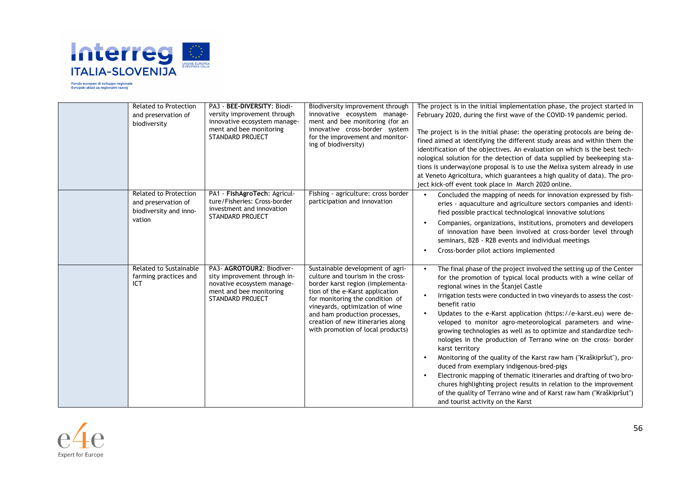

| <b>Related to Protection</b><br>and preservation of<br>biodiversity                     | PA3 - BEE-DIVERSITY: Biodi-<br>versity improvement through<br>innovative ecosystem manage-<br>ment and bee monitoring<br><b>STANDARD PROJECT</b> | Biodiversity improvement through<br>innovative ecosystem manage-<br>ment and bee monitoring (for an<br>innovative cross-border system<br>for the improvement and monitor-<br>ing of biodiversity)                                                                                                                             | The project is in the initial implementation phase, the project started in<br>February 2020, during the first wave of the COVID-19 pandemic period.<br>The project is in the initial phase: the operating protocols are being de-<br>fined aimed at identifying the different study areas and within them the<br>identification of the objectives. An evaluation on which is the best tech-<br>nological solution for the detection of data supplied by beekeeping sta-<br>tions is underway (one proposal is to use the Melixa system already in use<br>at Veneto Agricoltura, which guarantees a high quality of data). The pro-<br>ject kick-off event took place in March 2020 online.                                                                                                                                                                                                                                                             |
|-----------------------------------------------------------------------------------------|--------------------------------------------------------------------------------------------------------------------------------------------------|-------------------------------------------------------------------------------------------------------------------------------------------------------------------------------------------------------------------------------------------------------------------------------------------------------------------------------|--------------------------------------------------------------------------------------------------------------------------------------------------------------------------------------------------------------------------------------------------------------------------------------------------------------------------------------------------------------------------------------------------------------------------------------------------------------------------------------------------------------------------------------------------------------------------------------------------------------------------------------------------------------------------------------------------------------------------------------------------------------------------------------------------------------------------------------------------------------------------------------------------------------------------------------------------------|
| <b>Related to Protection</b><br>and preservation of<br>biodiversity and inno-<br>vation | PA1 - FishAgroTech: Agricul-<br>ture/Fisheries: Cross-border<br>investment and innovation<br><b>STANDARD PROJECT</b>                             | Fishing - agriculture: cross border<br>participation and innovation                                                                                                                                                                                                                                                           | Concluded the mapping of needs for innovation expressed by fish-<br>eries - aquaculture and agriculture sectors companies and identi-<br>fied possible practical technological innovative solutions<br>Companies, organizations, institutions, promoters and developers<br>of innovation have been involved at cross-border level through<br>seminars, B2B - R2B events and individual meetings<br>Cross-border pilot actions implemented                                                                                                                                                                                                                                                                                                                                                                                                                                                                                                              |
| Related to Sustainable<br>farming practices and<br>ICT                                  | PA3- AGROTOUR2: Biodiver-<br>sity improvement through in-<br>novative ecosystem manage-<br>ment and bee monitoring<br><b>STANDARD PROJECT</b>    | Sustainable development of agri-<br>culture and tourism in the cross-<br>border karst region (implementa-<br>tion of the e-Karst application<br>for monitoring the condition of<br>vineyards, optimization of wine<br>and ham production processes,<br>creation of new itineraries along<br>with promotion of local products) | The final phase of the project involved the setting up of the Center<br>for the promotion of typical local products with a wine cellar of<br>regional wines in the Stanjel Castle<br>Irrigation tests were conducted in two vineyards to assess the cost-<br>benefit ratio<br>Updates to the e-Karst application (https://e-karst.eu) were de-<br>veloped to monitor agro-meteorological parameters and wine-<br>growing technologies as well as to optimize and standardize tech-<br>nologies in the production of Terrano wine on the cross- border<br>karst territory<br>Monitoring of the quality of the Karst raw ham ("Kraškipršut"), pro-<br>duced from exemplary indigenous-bred-pigs<br>Electronic mapping of thematic itineraries and drafting of two bro-<br>chures highlighting project results in relation to the improvement<br>of the quality of Terrano wine and of Karst raw ham ("Kraškipršut")<br>and tourist activity on the Karst |

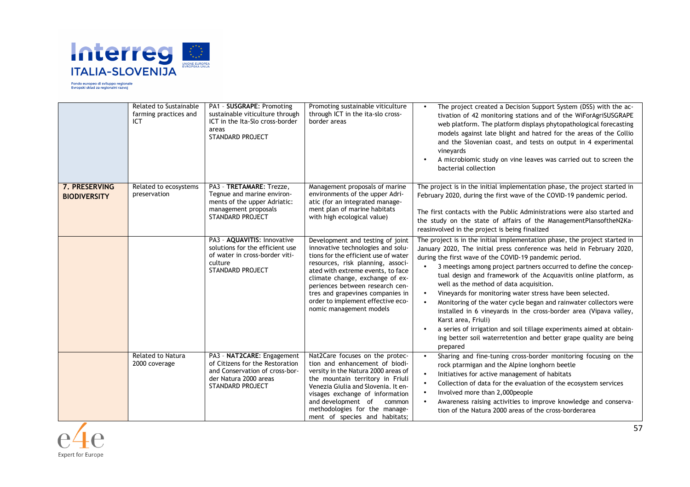

|                                      | Related to Sustainable<br>farming practices and<br>ICT | PA1 - SUSGRAPE: Promoting<br>sustainable viticulture through<br>ICT in the Ita-Slo cross-border<br>areas<br><b>STANDARD PROJECT</b>          | Promoting sustainable viticulture<br>through ICT in the ita-slo cross-<br>border areas                                                                                                                                                                                                                                                                            | The project created a Decision Support System (DSS) with the ac-<br>$\bullet$<br>tivation of 42 monitoring stations and of the WiForAgriSUSGRAPE<br>web platform. The platform displays phytopathological forecasting<br>models against late blight and hatred for the areas of the Collio<br>and the Slovenian coast, and tests on output in 4 experimental<br>vineyards<br>A microbiomic study on vine leaves was carried out to screen the<br>bacterial collection                                                                                                                                                                                                                                                                                                                  |
|--------------------------------------|--------------------------------------------------------|----------------------------------------------------------------------------------------------------------------------------------------------|-------------------------------------------------------------------------------------------------------------------------------------------------------------------------------------------------------------------------------------------------------------------------------------------------------------------------------------------------------------------|----------------------------------------------------------------------------------------------------------------------------------------------------------------------------------------------------------------------------------------------------------------------------------------------------------------------------------------------------------------------------------------------------------------------------------------------------------------------------------------------------------------------------------------------------------------------------------------------------------------------------------------------------------------------------------------------------------------------------------------------------------------------------------------|
| 7. PRESERVING<br><b>BIODIVERSITY</b> | Related to ecosystems<br>preservation                  | PA3 - TRETAMARE: Trezze,<br>Tegnue and marine environ-<br>ments of the upper Adriatic:<br>management proposals<br><b>STANDARD PROJECT</b>    | Management proposals of marine<br>environments of the upper Adri-<br>atic (for an integrated manage-<br>ment plan of marine habitats<br>with high ecological value)                                                                                                                                                                                               | The project is in the initial implementation phase, the project started in<br>February 2020, during the first wave of the COVID-19 pandemic period.<br>The first contacts with the Public Administrations were also started and<br>the study on the state of affairs of the ManagementPlansoftheN2Ka-<br>reasinvolved in the project is being finalized                                                                                                                                                                                                                                                                                                                                                                                                                                |
|                                      |                                                        | PA3 - AQUAVITIS: Innovative<br>solutions for the efficient use<br>of water in cross-border viti-<br>culture<br>STANDARD PROJECT              | Development and testing of joint<br>innovative technologies and solu-<br>tions for the efficient use of water<br>resources, risk planning, associ-<br>ated with extreme events, to face<br>climate change, exchange of ex-<br>periences between research cen-<br>tres and grapevines companies in<br>order to implement effective eco-<br>nomic management models | The project is in the initial implementation phase, the project started in<br>January 2020, The initial press conference was held in February 2020,<br>during the first wave of the COVID-19 pandemic period.<br>3 meetings among project partners occurred to define the concep-<br>tual design and framework of the Acquavitis online platform, as<br>well as the method of data acquisition.<br>Vineyards for monitoring water stress have been selected.<br>Monitoring of the water cycle began and rainwater collectors were<br>installed in 6 vineyards in the cross-border area (Vipava valley,<br>Karst area, Friuli)<br>a series of irrigation and soil tillage experiments aimed at obtain-<br>ing better soil waterretention and better grape quality are being<br>prepared |
|                                      | <b>Related to Natura</b><br>2000 coverage              | PA3 - NAT2CARE: Engagement<br>of Citizens for the Restoration<br>and Conservation of cross-bor-<br>der Natura 2000 areas<br>STANDARD PROJECT | Nat2Care focuses on the protec-<br>tion and enhancement of biodi-<br>versity in the Natura 2000 areas of<br>the mountain territory in Friuli<br>Venezia Giulia and Slovenia. It en-<br>visages exchange of information<br>and development of<br>common<br>methodologies for the manage-<br>ment of species and habitats;                                          | Sharing and fine-tuning cross-border monitoring focusing on the<br>$\bullet$<br>rock ptarmigan and the Alpine longhorn beetle<br>Initiatives for active management of habitats<br>Collection of data for the evaluation of the ecosystem services<br>Involved more than 2,000people<br>Awareness raising activities to improve knowledge and conserva-<br>tion of the Natura 2000 areas of the cross-borderarea                                                                                                                                                                                                                                                                                                                                                                        |

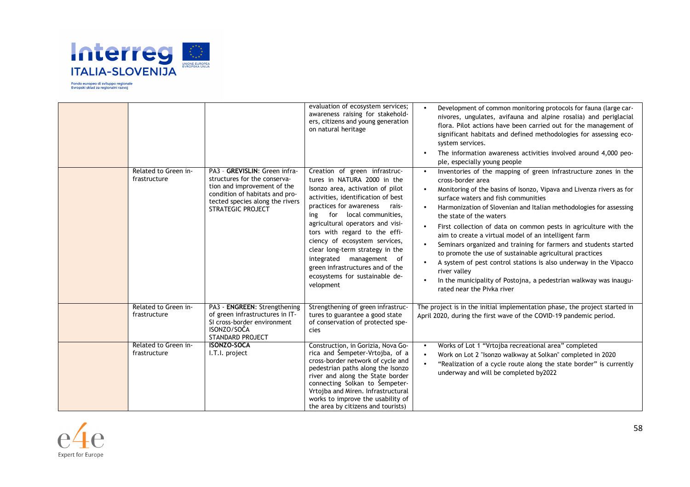

| Related to Green in-<br>frastructure | PA3 - GREVISLIN: Green infra-<br>structures for the conserva-<br>tion and improvement of the<br>condition of habitats and pro-<br>tected species along the rivers<br><b>STRATEGIC PROJECT</b> | evaluation of ecosystem services;<br>awareness raising for stakehold-<br>ers, citizens and young generation<br>on natural heritage<br>Creation of green infrastruc-<br>tures in NATURA 2000 in the<br>Isonzo area, activation of pilot<br>activities, identification of best<br>practices for awareness<br>rais-<br>for local communities,<br>ing<br>agricultural operators and visi-<br>tors with regard to the effi-<br>ciency of ecosystem services,<br>clear long-term strategy in the<br>integrated<br>management of<br>green infrastructures and of the<br>ecosystems for sustainable de-<br>velopment | Development of common monitoring protocols for fauna (large car-<br>nivores, ungulates, avifauna and alpine rosalia) and periglacial<br>flora. Pilot actions have been carried out for the management of<br>significant habitats and defined methodologies for assessing eco-<br>system services.<br>The information awareness activities involved around 4,000 peo-<br>ple, especially young people<br>Inventories of the mapping of green infrastructure zones in the<br>cross-border area<br>Monitoring of the basins of Isonzo, Vipava and Livenza rivers as for<br>surface waters and fish communities<br>Harmonization of Slovenian and Italian methodologies for assessing<br>the state of the waters<br>First collection of data on common pests in agriculture with the<br>aim to create a virtual model of an intelligent farm<br>Seminars organized and training for farmers and students started<br>to promote the use of sustainable agricultural practices<br>A system of pest control stations is also underway in the Vipacco<br>river valley<br>In the municipality of Postojna, a pedestrian walkway was inaugu-<br>rated near the Pivka river |
|--------------------------------------|-----------------------------------------------------------------------------------------------------------------------------------------------------------------------------------------------|--------------------------------------------------------------------------------------------------------------------------------------------------------------------------------------------------------------------------------------------------------------------------------------------------------------------------------------------------------------------------------------------------------------------------------------------------------------------------------------------------------------------------------------------------------------------------------------------------------------|------------------------------------------------------------------------------------------------------------------------------------------------------------------------------------------------------------------------------------------------------------------------------------------------------------------------------------------------------------------------------------------------------------------------------------------------------------------------------------------------------------------------------------------------------------------------------------------------------------------------------------------------------------------------------------------------------------------------------------------------------------------------------------------------------------------------------------------------------------------------------------------------------------------------------------------------------------------------------------------------------------------------------------------------------------------------------------------------------------------------------------------------------------------|
| Related to Green in-<br>frastructure | PA3 - ENGREEN: Strengthening<br>of green infrastructures in IT-<br>SI cross-border environment<br>ISONZO/SOČA<br><b>STANDARD PROJECT</b>                                                      | Strengthening of green infrastruc-<br>tures to guarantee a good state<br>of conservation of protected spe-<br>cies                                                                                                                                                                                                                                                                                                                                                                                                                                                                                           | The project is in the initial implementation phase, the project started in<br>April 2020, during the first wave of the COVID-19 pandemic period.                                                                                                                                                                                                                                                                                                                                                                                                                                                                                                                                                                                                                                                                                                                                                                                                                                                                                                                                                                                                                 |
| Related to Green in-<br>frastructure | <b>ISONZO-SOCA</b><br>I.T.I. project                                                                                                                                                          | Construction, in Gorizia, Nova Go-<br>rica and Šempeter-Vrtojba, of a<br>cross-border network of cycle and<br>pedestrian paths along the Isonzo<br>river and along the State border<br>connecting Solkan to Šempeter-<br>Vrtojba and Miren. Infrastructural<br>works to improve the usability of<br>the area by citizens and tourists)                                                                                                                                                                                                                                                                       | Works of Lot 1 "Vrtojba recreational area" completed<br>Work on Lot 2 "Isonzo walkway at Solkan" completed in 2020<br>"Realization of a cycle route along the state border" is currently<br>underway and will be completed by2022                                                                                                                                                                                                                                                                                                                                                                                                                                                                                                                                                                                                                                                                                                                                                                                                                                                                                                                                |

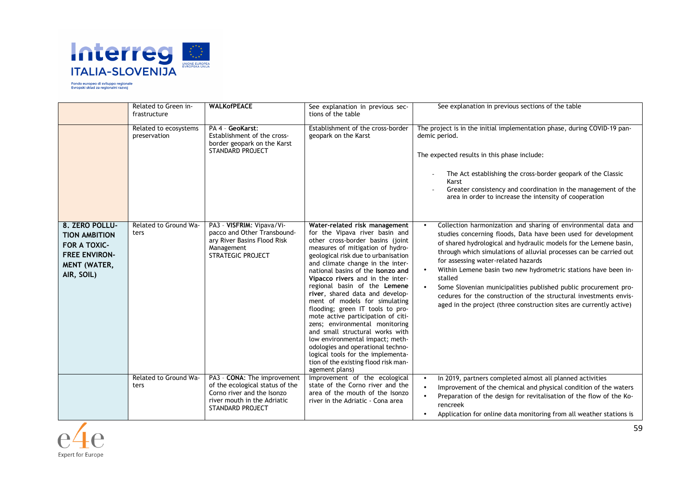

|                                                                                                                            | Related to Green in-<br>frastructure  | <b>WALKofPEACE</b>                                                                                                                                     | See explanation in previous sec-<br>tions of the table                                                                                                                                                                                                                                                                                                                                                                                                                                                                                                                                                                                                                                                                | See explanation in previous sections of the table                                                                                                                                                                                                                                                                                                                                                                                                                                                                                                                                                              |
|----------------------------------------------------------------------------------------------------------------------------|---------------------------------------|--------------------------------------------------------------------------------------------------------------------------------------------------------|-----------------------------------------------------------------------------------------------------------------------------------------------------------------------------------------------------------------------------------------------------------------------------------------------------------------------------------------------------------------------------------------------------------------------------------------------------------------------------------------------------------------------------------------------------------------------------------------------------------------------------------------------------------------------------------------------------------------------|----------------------------------------------------------------------------------------------------------------------------------------------------------------------------------------------------------------------------------------------------------------------------------------------------------------------------------------------------------------------------------------------------------------------------------------------------------------------------------------------------------------------------------------------------------------------------------------------------------------|
|                                                                                                                            | Related to ecosystems<br>preservation | PA 4 - GeoKarst:<br>Establishment of the cross-<br>border geopark on the Karst<br><b>STANDARD PROJECT</b>                                              | Establishment of the cross-border<br>geopark on the Karst                                                                                                                                                                                                                                                                                                                                                                                                                                                                                                                                                                                                                                                             | The project is in the initial implementation phase, during COVID-19 pan-<br>demic period.<br>The expected results in this phase include:<br>The Act establishing the cross-border geopark of the Classic<br>Karst<br>Greater consistency and coordination in the management of the<br>area in order to increase the intensity of cooperation                                                                                                                                                                                                                                                                   |
| 8. ZERO POLLU-<br><b>TION AMBITION</b><br><b>FOR A TOXIC-</b><br><b>FREE ENVIRON-</b><br><b>MENT (WATER,</b><br>AIR, SOIL) | Related to Ground Wa-<br>ters         | PA3 - VISFRIM: Vipava/Vi-<br>pacco and Other Transbound-<br>ary River Basins Flood Risk<br>Management<br><b>STRATEGIC PROJECT</b>                      | Water-related risk management<br>for the Vipava river basin and<br>other cross-border basins (joint<br>measures of mitigation of hydro-<br>geological risk due to urbanisation<br>and climate change in the inter-<br>national basins of the Isonzo and<br>Vipacco rivers and in the inter-<br>regional basin of the Lemene<br>river, shared data and develop-<br>ment of models for simulating<br>flooding; green IT tools to pro-<br>mote active participation of citi-<br>zens; environmental monitoring<br>and small structural works with<br>low environmental impact; meth-<br>odologies and operational techno-<br>logical tools for the implementa-<br>tion of the existing flood risk man-<br>agement plans) | Collection harmonization and sharing of environmental data and<br>studies concerning floods, Data have been used for development<br>of shared hydrological and hydraulic models for the Lemene basin,<br>through which simulations of alluvial processes can be carried out<br>for assessing water-related hazards<br>Within Lemene basin two new hydrometric stations have been in-<br>stalled<br>Some Slovenian municipalities published public procurement pro-<br>cedures for the construction of the structural investments envis-<br>aged in the project (three construction sites are currently active) |
|                                                                                                                            | Related to Ground Wa-<br>ters         | PA3 - CONA: The improvement<br>of the ecological status of the<br>Corno river and the Isonzo<br>river mouth in the Adriatic<br><b>STANDARD PROJECT</b> | Improvement of the ecological<br>state of the Corno river and the<br>area of the mouth of the Isonzo<br>river in the Adriatic - Cona area                                                                                                                                                                                                                                                                                                                                                                                                                                                                                                                                                                             | In 2019, partners completed almost all planned activities<br>Improvement of the chemical and physical condition of the waters<br>Preparation of the design for revitalisation of the flow of the Ko-<br>rencreek<br>Application for online data monitoring from all weather stations is                                                                                                                                                                                                                                                                                                                        |